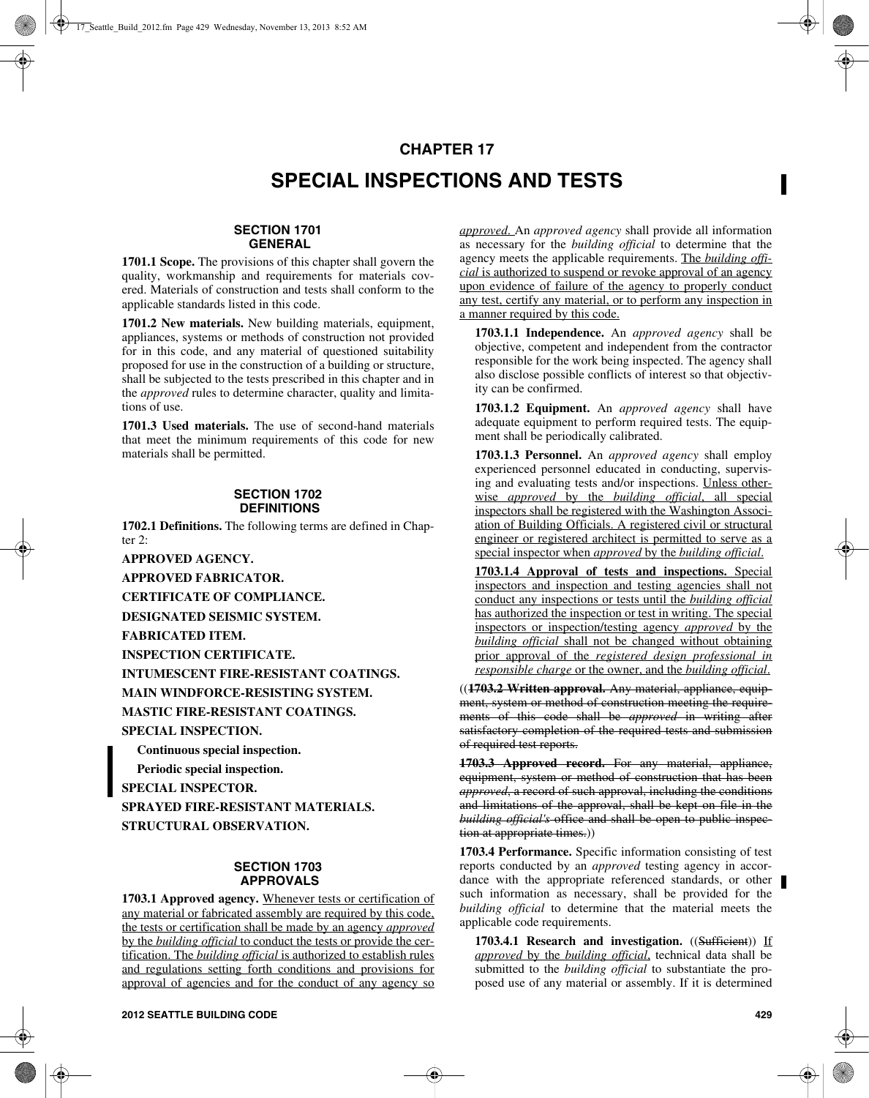# **CHAPTER 17**

# **SPECIAL INSPECTIONS AND TESTS**

# **SECTION 1701 GENERAL**

**1701.1 Scope.** The provisions of this chapter shall govern the quality, workmanship and requirements for materials covered. Materials of construction and tests shall conform to the applicable standards listed in this code.

**1701.2 New materials.** New building materials, equipment, appliances, systems or methods of construction not provided for in this code, and any material of questioned suitability proposed for use in the construction of a building or structure, shall be subjected to the tests prescribed in this chapter and in the *approved* rules to determine character, quality and limitations of use.

**1701.3 Used materials.** The use of second-hand materials that meet the minimum requirements of this code for new materials shall be permitted.

#### **SECTION 1702 DEFINITIONS**

**1702.1 Definitions.** The following terms are defined in Chapter 2:

**APPROVED AGENCY.**

**APPROVED FABRICATOR.**

**CERTIFICATE OF COMPLIANCE.**

**DESIGNATED SEISMIC SYSTEM.**

**FABRICATED ITEM.**

**INSPECTION CERTIFICATE.**

**INTUMESCENT FIRE-RESISTANT COATINGS.**

**MAIN WINDFORCE-RESISTING SYSTEM.**

**MASTIC FIRE-RESISTANT COATINGS.**

**SPECIAL INSPECTION.**

**Continuous special inspection. Periodic special inspection. SPECIAL INSPECTOR. SPRAYED FIRE-RESISTANT MATERIALS. STRUCTURAL OBSERVATION.**

## **SECTION 1703 APPROVALS**

**1703.1 Approved agency.** Whenever tests or certification of any material or fabricated assembly are required by this code, the tests or certification shall be made by an agency *approved* by the *building official* to conduct the tests or provide the certification. The *building official* is authorized to establish rules and regulations setting forth conditions and provisions for approval of agencies and for the conduct of any agency so

*approved*. An *approved agency* shall provide all information as necessary for the *building official* to determine that the agency meets the applicable requirements. The *building official* is authorized to suspend or revoke approval of an agency upon evidence of failure of the agency to properly conduct any test, certify any material, or to perform any inspection in a manner required by this code.

**1703.1.1 Independence.** An *approved agency* shall be objective, competent and independent from the contractor responsible for the work being inspected. The agency shall also disclose possible conflicts of interest so that objectivity can be confirmed.

**1703.1.2 Equipment.** An *approved agency* shall have adequate equipment to perform required tests. The equipment shall be periodically calibrated.

**1703.1.3 Personnel.** An *approved agency* shall employ experienced personnel educated in conducting, supervising and evaluating tests and/or inspections. Unless otherwise *approved* by the *building official*, all special inspectors shall be registered with the Washington Association of Building Officials. A registered civil or structural engineer or registered architect is permitted to serve as a special inspector when *approved* by the *building official*.

**1703.1.4 Approval of tests and inspections.** Special inspectors and inspection and testing agencies shall not conduct any inspections or tests until the *building official* has authorized the inspection or test in writing. The special inspectors or inspection/testing agency *approved* by the *building official* shall not be changed without obtaining prior approval of the *registered design professional in responsible charge* or the owner, and the *building official*.

((**1703.2 Written approval.** Any material, appliance, equipment, system or method of construction meeting the requirements of this code shall be *approved* in writing after satisfactory completion of the required tests and submission of required test reports.

**1703.3 Approved record.** For any material, appliance, equipment, system or method of construction that has been *approved*, a record of such approval, including the conditions and limitations of the approval, shall be kept on file in the *building official's* office and shall be open to public inspection at appropriate times.))

**1703.4 Performance.** Specific information consisting of test reports conducted by an *approved* testing agency in accordance with the appropriate referenced standards, or other such information as necessary, shall be provided for the *building official* to determine that the material meets the applicable code requirements.

**1703.4.1 Research and investigation.** ((Sufficient)) If *approved* by the *building official*, technical data shall be submitted to the *building official* to substantiate the proposed use of any material or assembly. If it is determined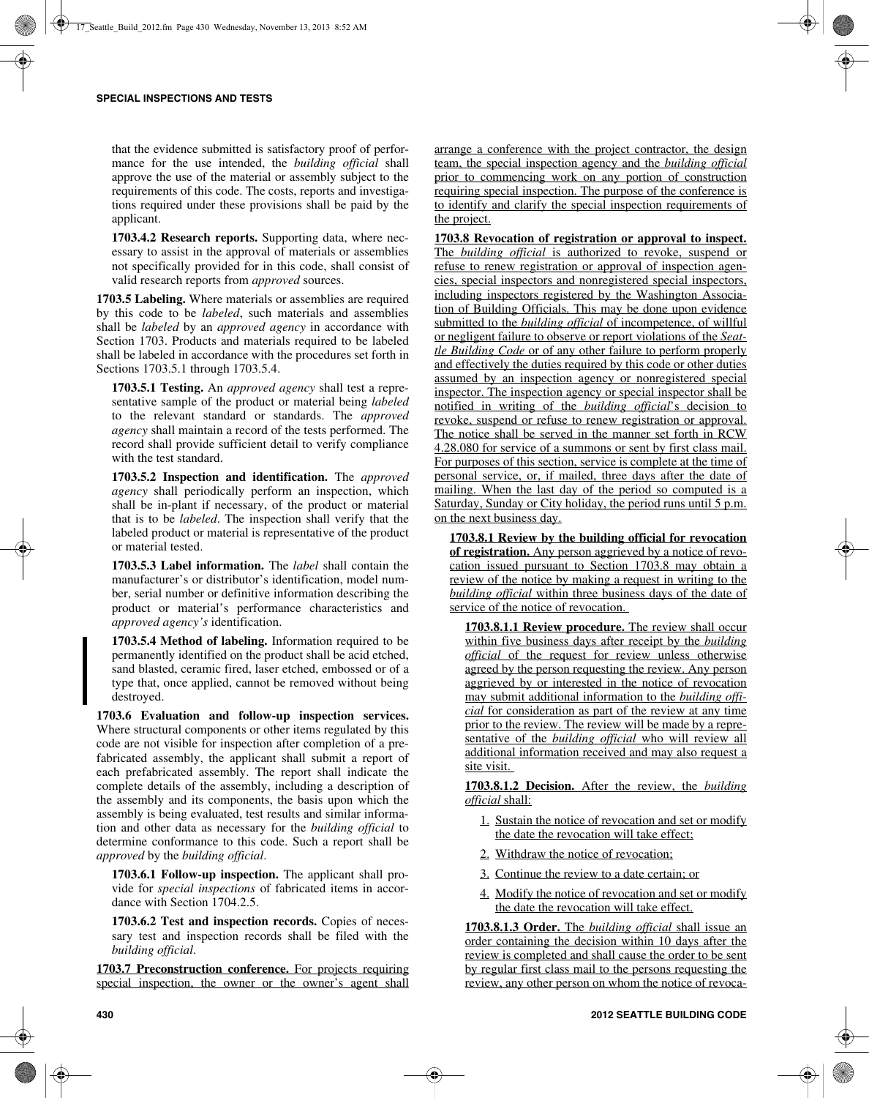that the evidence submitted is satisfactory proof of performance for the use intended, the *building official* shall approve the use of the material or assembly subject to the requirements of this code. The costs, reports and investigations required under these provisions shall be paid by the applicant.

**1703.4.2 Research reports.** Supporting data, where necessary to assist in the approval of materials or assemblies not specifically provided for in this code, shall consist of valid research reports from *approved* sources.

**1703.5 Labeling.** Where materials or assemblies are required by this code to be *labeled*, such materials and assemblies shall be *labeled* by an *approved agency* in accordance with Section 1703. Products and materials required to be labeled shall be labeled in accordance with the procedures set forth in Sections 1703.5.1 through 1703.5.4.

**1703.5.1 Testing.** An *approved agency* shall test a representative sample of the product or material being *labeled* to the relevant standard or standards. The *approved agency* shall maintain a record of the tests performed. The record shall provide sufficient detail to verify compliance with the test standard.

**1703.5.2 Inspection and identification.** The *approved agency* shall periodically perform an inspection, which shall be in-plant if necessary, of the product or material that is to be *labeled*. The inspection shall verify that the labeled product or material is representative of the product or material tested.

**1703.5.3 Label information.** The *label* shall contain the manufacturer's or distributor's identification, model number, serial number or definitive information describing the product or material's performance characteristics and *approved agency's* identification.

**1703.5.4 Method of labeling.** Information required to be permanently identified on the product shall be acid etched, sand blasted, ceramic fired, laser etched, embossed or of a type that, once applied, cannot be removed without being destroyed.

**1703.6 Evaluation and follow-up inspection services.** Where structural components or other items regulated by this code are not visible for inspection after completion of a prefabricated assembly, the applicant shall submit a report of each prefabricated assembly. The report shall indicate the complete details of the assembly, including a description of the assembly and its components, the basis upon which the assembly is being evaluated, test results and similar information and other data as necessary for the *building official* to determine conformance to this code. Such a report shall be *approved* by the *building official*.

**1703.6.1 Follow-up inspection.** The applicant shall provide for *special inspections* of fabricated items in accordance with Section 1704.2.5.

**1703.6.2 Test and inspection records.** Copies of necessary test and inspection records shall be filed with the *building official*.

**1703.7 Preconstruction conference.** For projects requiring special inspection, the owner or the owner's agent shall arrange a conference with the project contractor, the design team, the special inspection agency and the *building official* prior to commencing work on any portion of construction requiring special inspection. The purpose of the conference is to identify and clarify the special inspection requirements of the project.

**1703.8 Revocation of registration or approval to inspect.** The *building official* is authorized to revoke, suspend or refuse to renew registration or approval of inspection agencies, special inspectors and nonregistered special inspectors, including inspectors registered by the Washington Association of Building Officials. This may be done upon evidence submitted to the *building official* of incompetence, of willful or negligent failure to observe or report violations of the *Seattle Building Code* or of any other failure to perform properly and effectively the duties required by this code or other duties assumed by an inspection agency or nonregistered special inspector. The inspection agency or special inspector shall be notified in writing of the *building official*'s decision to revoke, suspend or refuse to renew registration or approval. The notice shall be served in the manner set forth in RCW 4.28.080 for service of a summons or sent by first class mail. For purposes of this section, service is complete at the time of personal service, or, if mailed, three days after the date of mailing. When the last day of the period so computed is a Saturday, Sunday or City holiday, the period runs until 5 p.m. on the next business day.

**1703.8.1 Review by the building official for revocation of registration.** Any person aggrieved by a notice of revocation issued pursuant to Section 1703.8 may obtain a review of the notice by making a request in writing to the *building official* within three business days of the date of service of the notice of revocation.

**1703.8.1.1 Review procedure.** The review shall occur within five business days after receipt by the *building official* of the request for review unless otherwise agreed by the person requesting the review. Any person aggrieved by or interested in the notice of revocation may submit additional information to the *building official* for consideration as part of the review at any time prior to the review. The review will be made by a representative of the *building official* who will review all additional information received and may also request a site visit.

**1703.8.1.2 Decision.** After the review, the *building official* shall:

- 1. Sustain the notice of revocation and set or modify the date the revocation will take effect;
- 2. Withdraw the notice of revocation;
- 3. Continue the review to a date certain; or
- 4. Modify the notice of revocation and set or modify the date the revocation will take effect.

**1703.8.1.3 Order.** The *building official* shall issue an order containing the decision within 10 days after the review is completed and shall cause the order to be sent by regular first class mail to the persons requesting the review, any other person on whom the notice of revoca-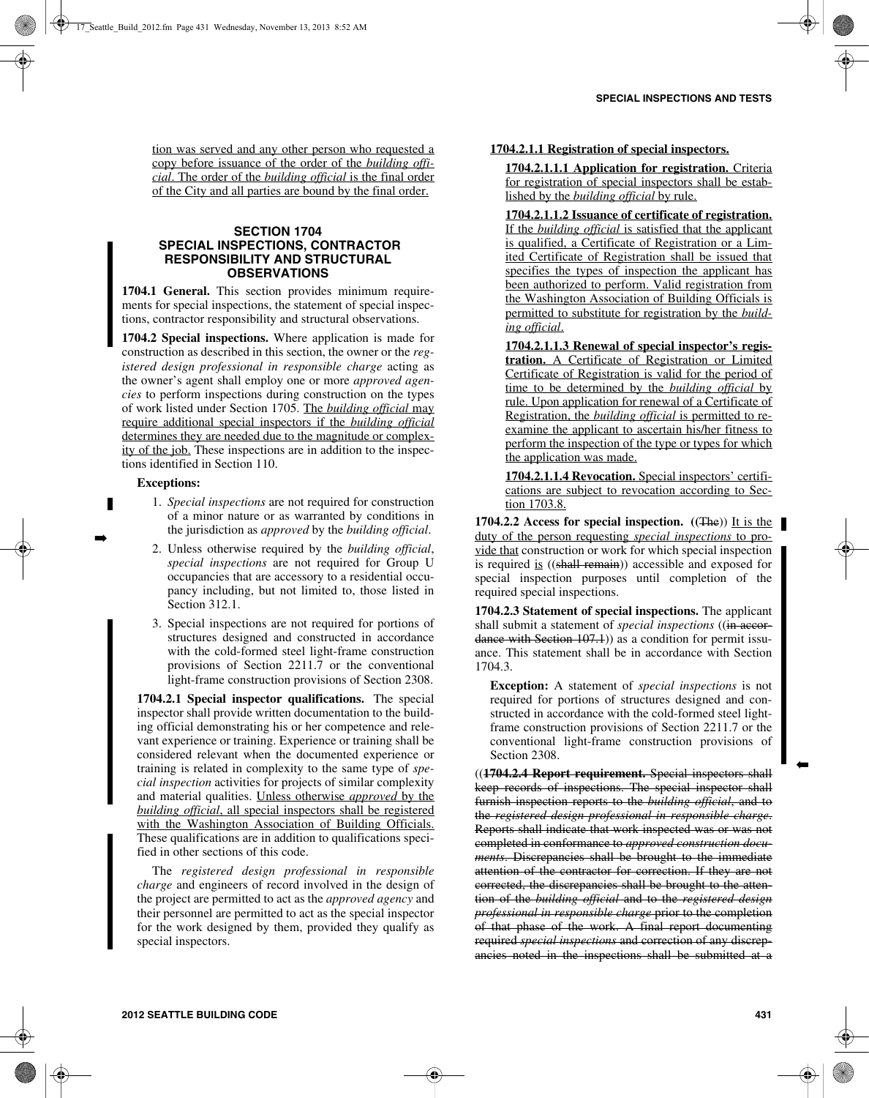tion was served and any other person who requested a copy before issuance of the order of the *building official*. The order of the *building official* is the final order of the City and all parties are bound by the final order.

# **SECTION 1704 SPECIAL INSPECTIONS, CONTRACTOR RESPONSIBILITY AND STRUCTURAL OBSERVATIONS**

**1704.1 General.** This section provides minimum requirements for special inspections, the statement of special inspections, contractor responsibility and structural observations.

**1704.2 Special inspections.** Where application is made for construction as described in this section, the owner or the *registered design professional in responsible charge* acting as the owner's agent shall employ one or more *approved agencies* to perform inspections during construction on the types of work listed under Section 1705. The *building official* may require additional special inspectors if the *building official* determines they are needed due to the magnitude or complexity of the job. These inspections are in addition to the inspections identified in Section 110.

### **Exceptions:**

➡

- 1. *Special inspections* are not required for construction of a minor nature or as warranted by conditions in the jurisdiction as *approved* by the *building official*.
- 2. Unless otherwise required by the *building official*, *special inspections* are not required for Group U occupancies that are accessory to a residential occupancy including, but not limited to, those listed in Section 312.1.
- 3. Special inspections are not required for portions of structures designed and constructed in accordance with the cold-formed steel light-frame construction provisions of Section 2211.7 or the conventional light-frame construction provisions of Section 2308.

**1704.2.1 Special inspector qualifications.** The special inspector shall provide written documentation to the building official demonstrating his or her competence and relevant experience or training. Experience or training shall be considered relevant when the documented experience or training is related in complexity to the same type of *special inspection* activities for projects of similar complexity and material qualities. Unless otherwise *approved* by the *building official*, all special inspectors shall be registered with the Washington Association of Building Officials. These qualifications are in addition to qualifications specified in other sections of this code.

The *registered design professional in responsible charge* and engineers of record involved in the design of the project are permitted to act as the *approved agency* and their personnel are permitted to act as the special inspector for the work designed by them, provided they qualify as special inspectors.

# **1704.2.1.1 Registration of special inspectors.**

**1704.2.1.1.1 Application for registration.** Criteria for registration of special inspectors shall be established by the *building official* by rule.

**1704.2.1.1.2 Issuance of certificate of registration.** If the *building official* is satisfied that the applicant is qualified, a Certificate of Registration or a Limited Certificate of Registration shall be issued that specifies the types of inspection the applicant has been authorized to perform. Valid registration from the Washington Association of Building Officials is permitted to substitute for registration by the *building official*.

**1704.2.1.1.3 Renewal of special inspector's registration.** A Certificate of Registration or Limited Certificate of Registration is valid for the period of time to be determined by the *building official* by rule. Upon application for renewal of a Certificate of Registration, the *building official* is permitted to reexamine the applicant to ascertain his/her fitness to perform the inspection of the type or types for which the application was made.

**1704.2.1.1.4 Revocation.** Special inspectors' certifications are subject to revocation according to Section 1703.8.

**1704.2.2 Access for special inspection.** ((The)) It is the duty of the person requesting *special inspections* to provide that construction or work for which special inspection is required is ((shall remain)) accessible and exposed for special inspection purposes until completion of the required special inspections.

**1704.2.3 Statement of special inspections.** The applicant shall submit a statement of *special inspections* ((in accordance with Section 107.1) as a condition for permit issuance. This statement shall be in accordance with Section 1704.3.

**Exception:** A statement of *special inspections* is not required for portions of structures designed and constructed in accordance with the cold-formed steel lightframe construction provisions of Section 2211.7 or the conventional light-frame construction provisions of Section 2308.

((**1704.2.4 Report requirement.** Special inspectors shall keep records of inspections. The special inspector shall furnish inspection reports to the *building official*, and to the *registered design professional in responsible charge*. Reports shall indicate that work inspected was or was not completed in conformance to *approved construction documents*. Discrepancies shall be brought to the immediate attention of the contractor for correction. If they are not corrected, the discrepancies shall be brought to the attention of the *building official* and to the *registered design professional in responsible charge* prior to the completion of that phase of the work. A final report documenting required *special inspections* and correction of any discrepancies noted in the inspections shall be submitted at a ➡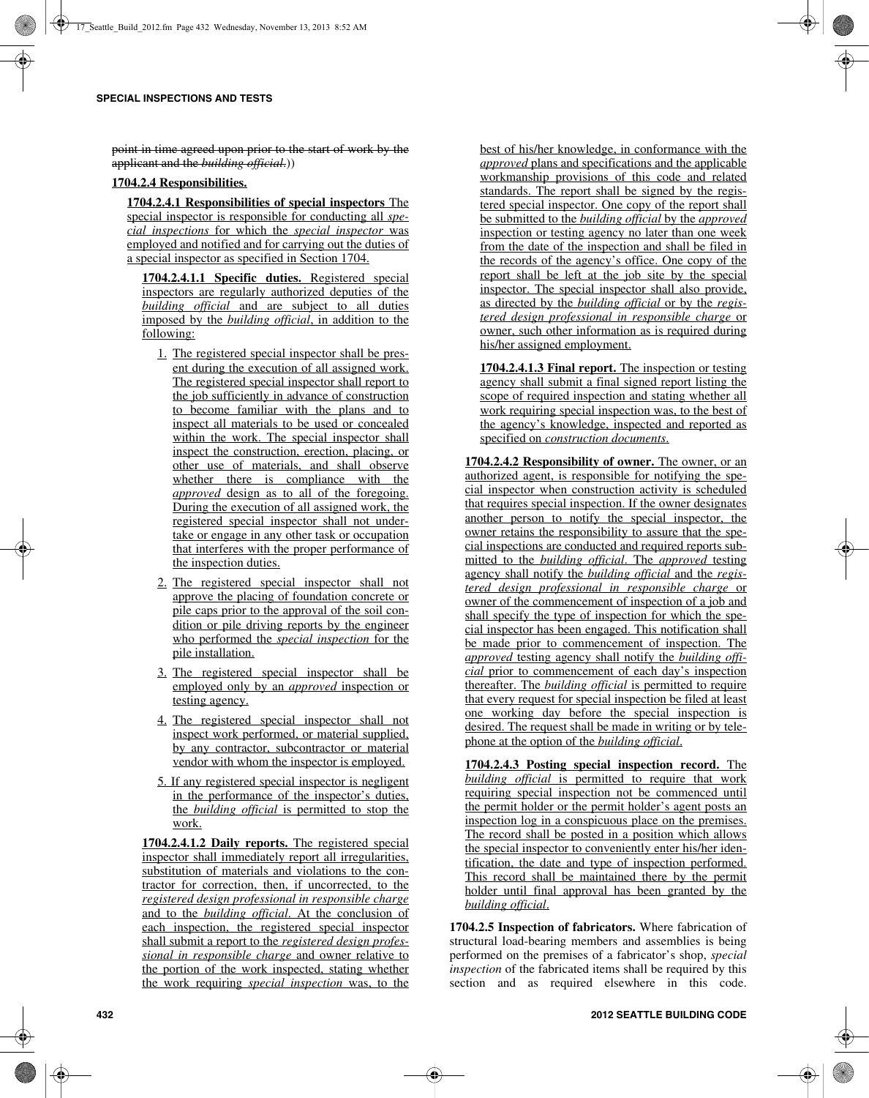point in time agreed upon prior to the start of work by the applicant and the *building official*.))

# **1704.2.4 Responsibilities.**

**1704.2.4.1 Responsibilities of special inspectors** The special inspector is responsible for conducting all *special inspections* for which the *special inspector* was employed and notified and for carrying out the duties of a special inspector as specified in Section 1704.

**1704.2.4.1.1 Specific duties.** Registered special inspectors are regularly authorized deputies of the *building official* and are subject to all duties imposed by the *building official*, in addition to the following:

- 1. The registered special inspector shall be present during the execution of all assigned work. The registered special inspector shall report to the job sufficiently in advance of construction to become familiar with the plans and to inspect all materials to be used or concealed within the work. The special inspector shall inspect the construction, erection, placing, or other use of materials, and shall observe whether there is compliance with the *approved* design as to all of the foregoing. During the execution of all assigned work, the registered special inspector shall not undertake or engage in any other task or occupation that interferes with the proper performance of the inspection duties.
- 2. The registered special inspector shall not approve the placing of foundation concrete or pile caps prior to the approval of the soil condition or pile driving reports by the engineer who performed the *special inspection* for the pile installation.
- 3. The registered special inspector shall be employed only by an *approved* inspection or testing agency.
- 4. The registered special inspector shall not inspect work performed, or material supplied, by any contractor, subcontractor or material vendor with whom the inspector is employed.
- 5. If any registered special inspector is negligent in the performance of the inspector's duties, the *building official* is permitted to stop the work.

**1704.2.4.1.2 Daily reports.** The registered special inspector shall immediately report all irregularities, substitution of materials and violations to the contractor for correction, then, if uncorrected, to the *registered design professional in responsible charge* and to the *building official*. At the conclusion of each inspection, the registered special inspector shall submit a report to the *registered design professional in responsible charge* and owner relative to the portion of the work inspected, stating whether the work requiring *special inspection* was, to the best of his/her knowledge, in conformance with the *approved* plans and specifications and the applicable workmanship provisions of this code and related standards. The report shall be signed by the registered special inspector. One copy of the report shall be submitted to the *building official* by the *approved* inspection or testing agency no later than one week from the date of the inspection and shall be filed in the records of the agency's office. One copy of the report shall be left at the job site by the special inspector. The special inspector shall also provide, as directed by the *building official* or by the *registered design professional in responsible charge* or owner, such other information as is required during his/her assigned employment.

**1704.2.4.1.3 Final report.** The inspection or testing agency shall submit a final signed report listing the scope of required inspection and stating whether all work requiring special inspection was, to the best of the agency's knowledge, inspected and reported as specified on *construction documents*.

**1704.2.4.2 Responsibility of owner.** The owner, or an authorized agent, is responsible for notifying the special inspector when construction activity is scheduled that requires special inspection. If the owner designates another person to notify the special inspector, the owner retains the responsibility to assure that the special inspections are conducted and required reports submitted to the *building official*. The *approved* testing agency shall notify the *building official* and the *registered design professional in responsible charge* or owner of the commencement of inspection of a job and shall specify the type of inspection for which the special inspector has been engaged. This notification shall be made prior to commencement of inspection. The *approved* testing agency shall notify the *building official* prior to commencement of each day's inspection thereafter. The *building official* is permitted to require that every request for special inspection be filed at least one working day before the special inspection is desired. The request shall be made in writing or by telephone at the option of the *building official*.

**1704.2.4.3 Posting special inspection record.** The *building official* is permitted to require that work requiring special inspection not be commenced until the permit holder or the permit holder's agent posts an inspection log in a conspicuous place on the premises. The record shall be posted in a position which allows the special inspector to conveniently enter his/her identification, the date and type of inspection performed. This record shall be maintained there by the permit holder until final approval has been granted by the *building official*.

**1704.2.5 Inspection of fabricators.** Where fabrication of structural load-bearing members and assemblies is being performed on the premises of a fabricator's shop, *special inspection* of the fabricated items shall be required by this section and as required elsewhere in this code.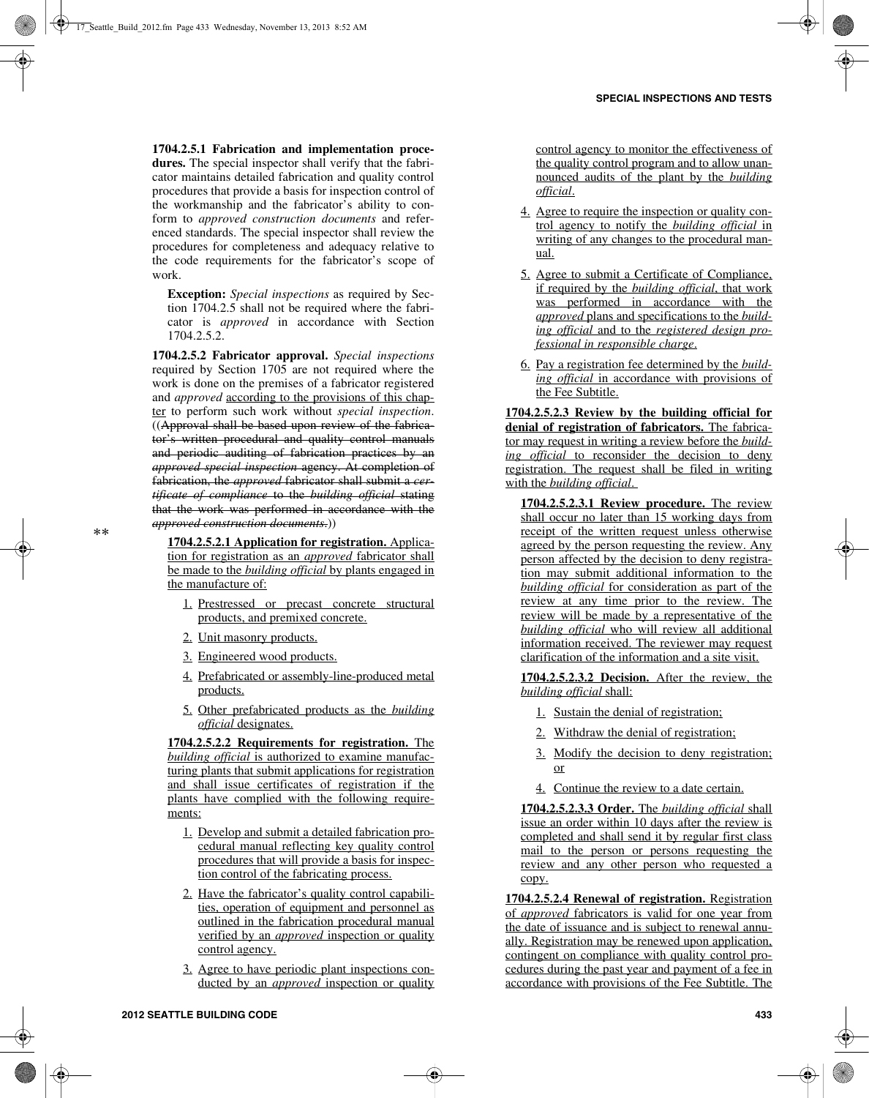**1704.2.5.1 Fabrication and implementation procedures.** The special inspector shall verify that the fabricator maintains detailed fabrication and quality control procedures that provide a basis for inspection control of the workmanship and the fabricator's ability to conform to *approved construction documents* and referenced standards. The special inspector shall review the procedures for completeness and adequacy relative to the code requirements for the fabricator's scope of work.

**Exception:** *Special inspections* as required by Section 1704.2.5 shall not be required where the fabricator is *approved* in accordance with Section 1704.2.5.2.

**1704.2.5.2 Fabricator approval.** *Special inspections* required by Section 1705 are not required where the work is done on the premises of a fabricator registered and *approved* according to the provisions of this chapter to perform such work without *special inspection*. ((Approval shall be based upon review of the fabricator's written procedural and quality control manuals and periodic auditing of fabrication practices by an *approved special inspection* agency. At completion of fabrication, the *approved* fabricator shall submit a *certificate of compliance* to the *building official* stating that the work was performed in accordance with the *approved construction documents*.))

**1704.2.5.2.1 Application for registration.** Application for registration as an *approved* fabricator shall be made to the *building official* by plants engaged in the manufacture of:

- 1. Prestressed or precast concrete structural products, and premixed concrete.
- 2. Unit masonry products.
- 3. Engineered wood products.
- 4. Prefabricated or assembly-line-produced metal products.
- 5. Other prefabricated products as the *building official* designates.

**1704.2.5.2.2 Requirements for registration.** The *building official* is authorized to examine manufacturing plants that submit applications for registration and shall issue certificates of registration if the plants have complied with the following requirements:

- 1. Develop and submit a detailed fabrication procedural manual reflecting key quality control procedures that will provide a basis for inspection control of the fabricating process.
- 2. Have the fabricator's quality control capabilities, operation of equipment and personnel as outlined in the fabrication procedural manual verified by an *approved* inspection or quality control agency.
- 3. Agree to have periodic plant inspections conducted by an *approved* inspection or quality

control agency to monitor the effectiveness of the quality control program and to allow unannounced audits of the plant by the *building official*.

- 4. Agree to require the inspection or quality control agency to notify the *building official* in writing of any changes to the procedural manual.
- 5. Agree to submit a Certificate of Compliance, if required by the *building official*, that work was performed in accordance with the *approved* plans and specifications to the *building official* and to the *registered design professional in responsible charge*.
- 6. Pay a registration fee determined by the *building official* in accordance with provisions of the Fee Subtitle.

**1704.2.5.2.3 Review by the building official for** denial of registration of fabricators. The fabricator may request in writing a review before the *building official* to reconsider the decision to deny registration. The request shall be filed in writing with the *building official*.

**1704.2.5.2.3.1 Review procedure.** The review shall occur no later than 15 working days from receipt of the written request unless otherwise agreed by the person requesting the review. Any person affected by the decision to deny registration may submit additional information to the *building official* for consideration as part of the review at any time prior to the review. The review will be made by a representative of the *building official* who will review all additional information received. The reviewer may request clarification of the information and a site visit.

**1704.2.5.2.3.2 Decision.** After the review, the *building official* shall:

- 1. Sustain the denial of registration;
- 2. Withdraw the denial of registration;
- 3. Modify the decision to deny registration; or
- 4. Continue the review to a date certain.

**1704.2.5.2.3.3 Order.** The *building official* shall issue an order within 10 days after the review is completed and shall send it by regular first class mail to the person or persons requesting the review and any other person who requested a copy.

**1704.2.5.2.4 Renewal of registration.** Registration of *approved* fabricators is valid for one year from the date of issuance and is subject to renewal annually. Registration may be renewed upon application, contingent on compliance with quality control procedures during the past year and payment of a fee in accordance with provisions of the Fee Subtitle. The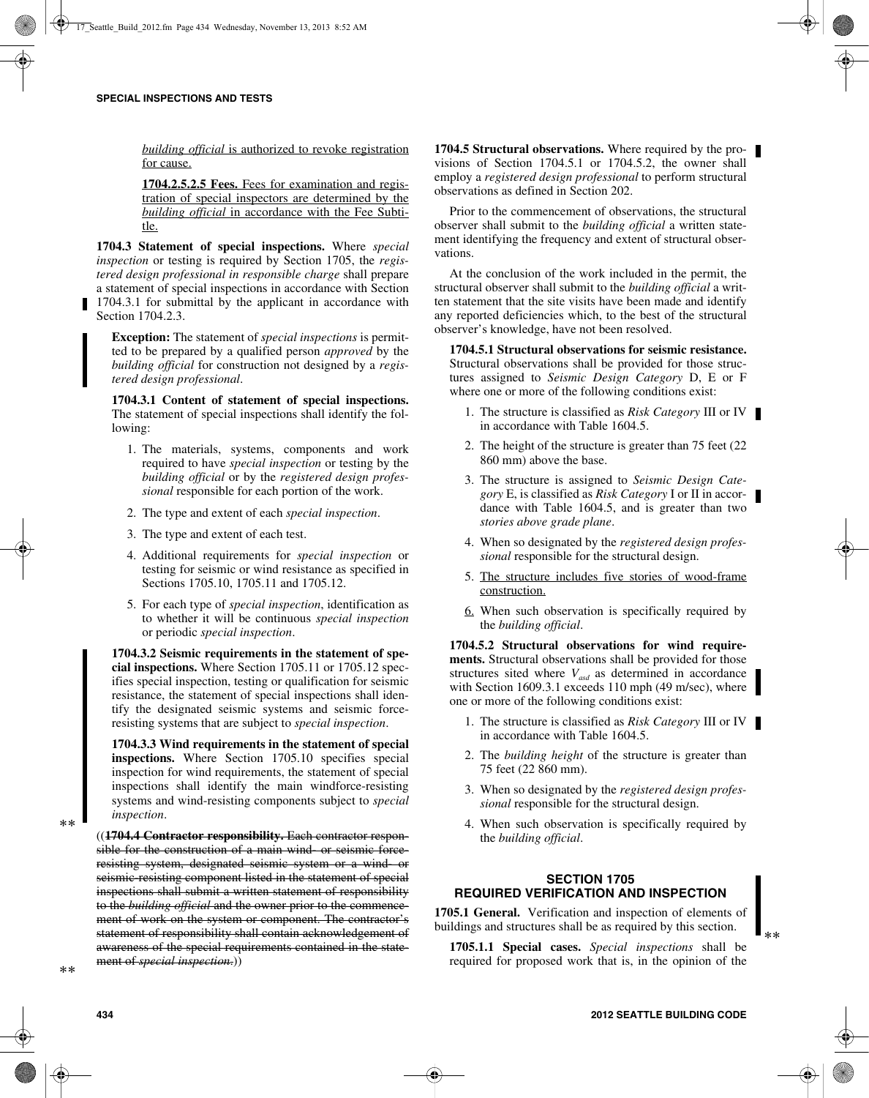*building official* is authorized to revoke registration for cause.

**1704.2.5.2.5 Fees.** Fees for examination and registration of special inspectors are determined by the *building official* in accordance with the Fee Subtitle.

**1704.3 Statement of special inspections.** Where *special inspection* or testing is required by Section 1705, the *registered design professional in responsible charge* shall prepare a statement of special inspections in accordance with Section 1704.3.1 for submittal by the applicant in accordance with Section 1704.2.3.

**Exception:** The statement of *special inspections* is permitted to be prepared by a qualified person *approved* by the *building official* for construction not designed by a *registered design professional*.

**1704.3.1 Content of statement of special inspections.** The statement of special inspections shall identify the following:

- 1. The materials, systems, components and work required to have *special inspection* or testing by the *building official* or by the *registered design professional* responsible for each portion of the work.
- 2. The type and extent of each *special inspection*.
- 3. The type and extent of each test.
- 4. Additional requirements for *special inspection* or testing for seismic or wind resistance as specified in Sections 1705.10, 1705.11 and 1705.12.
- 5. For each type of *special inspection*, identification as to whether it will be continuous *special inspection* or periodic *special inspection*.

**1704.3.2 Seismic requirements in the statement of special inspections.** Where Section 1705.11 or 1705.12 specifies special inspection, testing or qualification for seismic resistance, the statement of special inspections shall identify the designated seismic systems and seismic forceresisting systems that are subject to *special inspection*.

**1704.3.3 Wind requirements in the statement of special inspections.** Where Section 1705.10 specifies special inspection for wind requirements, the statement of special inspections shall identify the main windforce-resisting systems and wind-resisting components subject to *special inspection*.

((**1704.4 Contractor responsibility.** Each contractor responsible for the construction of a main wind or seismic forceresisting system, designated seismic system or a wind- or seismic-resisting component listed in the statement of special inspections shall submit a written statement of responsibility to the *building official* and the owner prior to the commencement of work on the system or component. The contractor's statement of responsibility shall contain acknowledgement of awareness of the special requirements contained in the statement of *special inspection*.))

**1704.5 Structural observations.** Where required by the provisions of Section 1704.5.1 or 1704.5.2, the owner shall employ a *registered design professional* to perform structural observations as defined in Section 202.

Prior to the commencement of observations, the structural observer shall submit to the *building official* a written statement identifying the frequency and extent of structural observations.

At the conclusion of the work included in the permit, the structural observer shall submit to the *building official* a written statement that the site visits have been made and identify any reported deficiencies which, to the best of the structural observer's knowledge, have not been resolved.

**1704.5.1 Structural observations for seismic resistance.** Structural observations shall be provided for those structures assigned to *Seismic Design Category* D, E or F where one or more of the following conditions exist:

- 1. The structure is classified as *Risk Category* III or IV in accordance with Table 1604.5.
- 2. The height of the structure is greater than 75 feet (22 860 mm) above the base.
- 3. The structure is assigned to *Seismic Design Category* E, is classified as *Risk Category* I or II in accordance with Table 1604.5, and is greater than two *stories above grade plane*.
- 4. When so designated by the *registered design professional* responsible for the structural design.
- 5. The structure includes five stories of wood-frame construction.
- 6. When such observation is specifically required by the *building official*.

**1704.5.2 Structural observations for wind requirements.** Structural observations shall be provided for those structures sited where  $V_{\text{asd}}$  as determined in accordance with Section 1609.3.1 exceeds 110 mph (49 m/sec), where one or more of the following conditions exist:

- 1. The structure is classified as *Risk Category* III or IV in accordance with Table 1604.5.
- 2. The *building height* of the structure is greater than 75 feet (22 860 mm).
- 3. When so designated by the *registered design professional* responsible for the structural design.
- 4. When such observation is specifically required by the *building official*.

# **SECTION 1705 REQUIRED VERIFICATION AND INSPECTION**

**1705.1 General.** Verification and inspection of elements of buildings and structures shall be as required by this section.

**1705.1.1 Special cases.** *Special inspections* shall be required for proposed work that is, in the opinion of the \*\*

\*\*

\*\*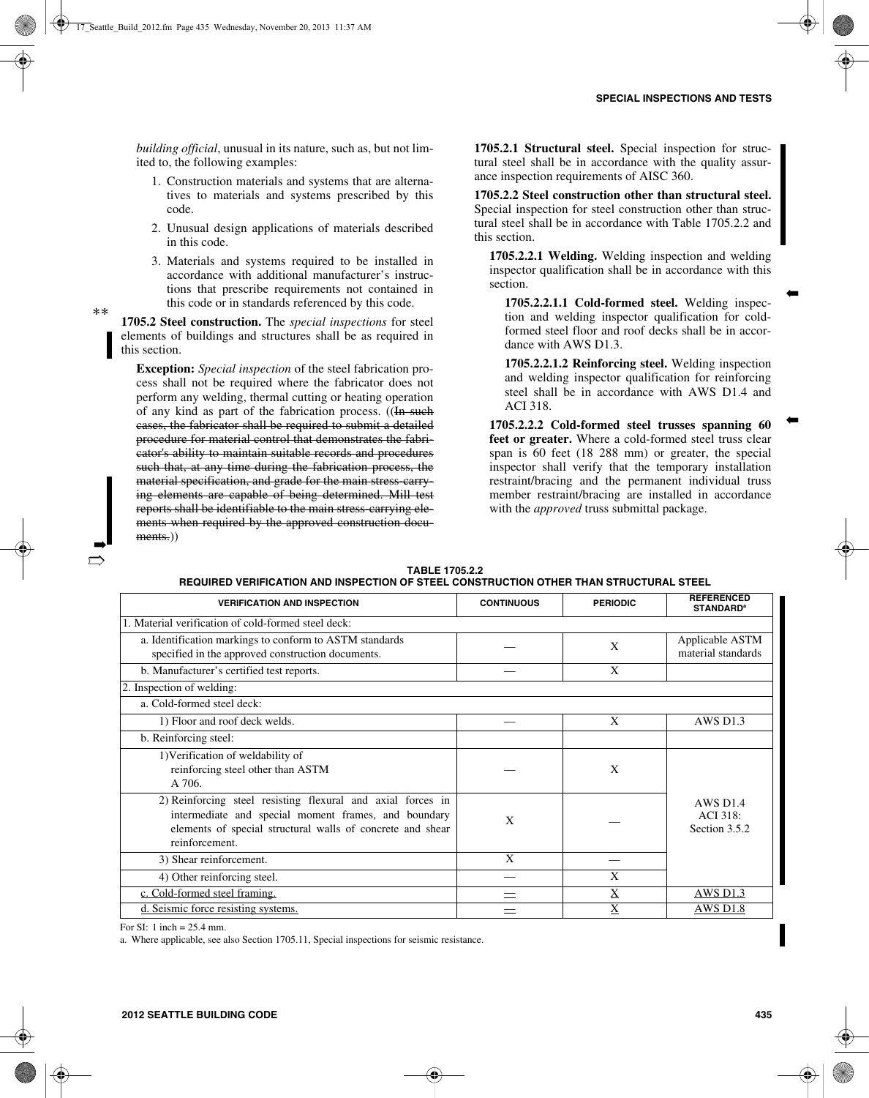➡

➡

*building official*, unusual in its nature, such as, but not limited to, the following examples:

- 1. Construction materials and systems that are alternatives to materials and systems prescribed by this code.
- 2. Unusual design applications of materials described in this code.
- 3. Materials and systems required to be installed in accordance with additional manufacturer's instructions that prescribe requirements not contained in this code or in standards referenced by this code.

**1705.2 Steel construction.** The *special inspections* for steel elements of buildings and structures shall be as required in this section.

\*\*

➡  $\Rightarrow$ 

**Exception:** *Special inspection* of the steel fabrication process shall not be required where the fabricator does not perform any welding, thermal cutting or heating operation of any kind as part of the fabrication process. ((In such cases, the fabricator shall be required to submit a detailed procedure for material control that demonstrates the fabricator's ability to maintain suitable records and procedures such that, at any time during the fabrication process, the material specification, and grade for the main stress-carrying elements are capable of being determined. Mill test reports shall be identifiable to the main stress-carrying elements when required by the approved construction documents.)

**1705.2.1 Structural steel.** Special inspection for structural steel shall be in accordance with the quality assurance inspection requirements of AISC 360.

**1705.2.2 Steel construction other than structural steel.** Special inspection for steel construction other than structural steel shall be in accordance with Table 1705.2.2 and this section.

**1705.2.2.1 Welding.** Welding inspection and welding inspector qualification shall be in accordance with this section.

**1705.2.2.1.1 Cold-formed steel.** Welding inspection and welding inspector qualification for coldformed steel floor and roof decks shall be in accordance with AWS D1.3.

**1705.2.2.1.2 Reinforcing steel.** Welding inspection and welding inspector qualification for reinforcing steel shall be in accordance with AWS D1.4 and ACI 318.

**1705.2.2.2 Cold-formed steel trusses spanning 60 feet or greater.** Where a cold-formed steel truss clear span is 60 feet (18 288 mm) or greater, the special inspector shall verify that the temporary installation restraint/bracing and the permanent individual truss member restraint/bracing are installed in accordance with the *approved* truss submittal package.

| <b>VERIFICATION AND INSPECTION</b>                                                                                                                                                                  | <b>CONTINUOUS</b> | <b>PERIODIC</b> | <b>REFERENCED</b><br><b>STANDARD<sup>a</sup></b>    |
|-----------------------------------------------------------------------------------------------------------------------------------------------------------------------------------------------------|-------------------|-----------------|-----------------------------------------------------|
| 1. Material verification of cold-formed steel deck:                                                                                                                                                 |                   |                 |                                                     |
| a. Identification markings to conform to ASTM standards<br>specified in the approved construction documents.                                                                                        |                   | X               | Applicable ASTM<br>material standards               |
| b. Manufacturer's certified test reports.                                                                                                                                                           |                   | X               |                                                     |
| 2. Inspection of welding:                                                                                                                                                                           |                   |                 |                                                     |
| a. Cold-formed steel deck:                                                                                                                                                                          |                   |                 |                                                     |
| 1) Floor and roof deck welds.                                                                                                                                                                       |                   | X               | <b>AWS D1.3</b>                                     |
| b. Reinforcing steel:                                                                                                                                                                               |                   |                 |                                                     |
| 1) Verification of weldability of<br>reinforcing steel other than ASTM<br>A 706.                                                                                                                    |                   | X               |                                                     |
| 2) Reinforcing steel resisting flexural and axial forces in<br>intermediate and special moment frames, and boundary<br>elements of special structural walls of concrete and shear<br>reinforcement. | X                 |                 | <b>AWS D1.4</b><br><b>ACI</b> 318:<br>Section 3.5.2 |
| 3) Shear reinforcement.                                                                                                                                                                             | X                 |                 |                                                     |
| 4) Other reinforcing steel.                                                                                                                                                                         |                   | X               |                                                     |
| c. Cold-formed steel framing.                                                                                                                                                                       |                   | $\bf{X}$        | AWS D <sub>1.3</sub>                                |
| d. Seismic force resisting systems.                                                                                                                                                                 |                   | X               | <b>AWS D1.8</b>                                     |

**TABLE 1705.2.2 REQUIRED VERIFICATION AND INSPECTION OF STEEL CONSTRUCTION OTHER THAN STRUCTURAL STEEL**

For SI: 1 inch = 25.4 mm.

a. Where applicable, see also Section 1705.11, Special inspections for seismic resistance.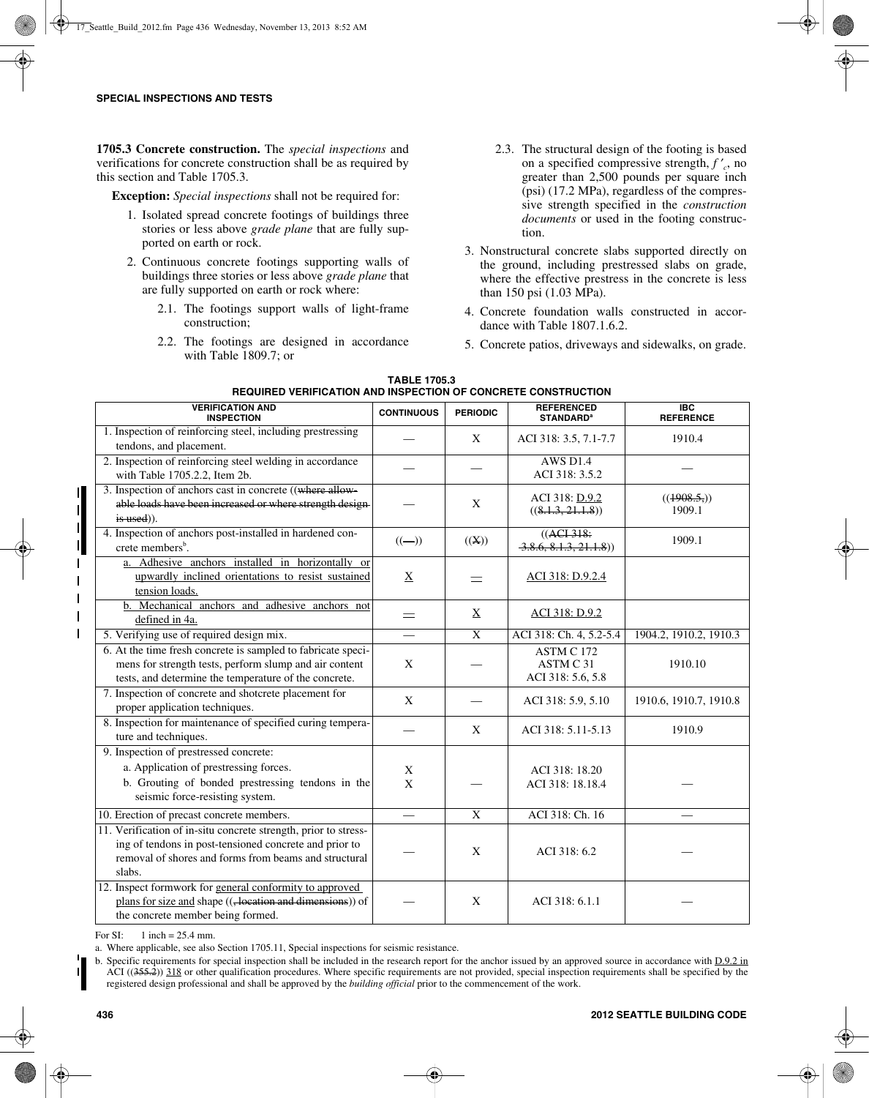**1705.3 Concrete construction.** The *special inspections* and verifications for concrete construction shall be as required by this section and Table 1705.3.

**Exception:** *Special inspections* shall not be required for:

- 1. Isolated spread concrete footings of buildings three stories or less above *grade plane* that are fully supported on earth or rock.
- 2. Continuous concrete footings supporting walls of buildings three stories or less above *grade plane* that are fully supported on earth or rock where:
	- 2.1. The footings support walls of light-frame construction;
	- 2.2. The footings are designed in accordance with Table 1809.7; or
- 2.3. The structural design of the footing is based on a specified compressive strength, *f* ′ *<sup>c</sup>*, no greater than 2,500 pounds per square inch (psi) (17.2 MPa), regardless of the compressive strength specified in the *construction documents* or used in the footing construction.
- 3. Nonstructural concrete slabs supported directly on the ground, including prestressed slabs on grade, where the effective prestress in the concrete is less than 150 psi (1.03 MPa).
- 4. Concrete foundation walls constructed in accordance with Table 1807.1.6.2.
- 5. Concrete patios, driveways and sidewalks, on grade.

| <b>VERIFICATION AND</b><br><b>INSPECTION</b>                                                                                                                                                 | <b>CONTINUOUS</b> | <b>PERIODIC</b> | <b>REFERENCED</b><br><b>STANDARD<sup>a</sup></b> | $\overline{BC}$<br><b>REFERENCE</b> |
|----------------------------------------------------------------------------------------------------------------------------------------------------------------------------------------------|-------------------|-----------------|--------------------------------------------------|-------------------------------------|
| 1. Inspection of reinforcing steel, including prestressing<br>tendons, and placement.                                                                                                        |                   | X               | ACI 318: 3.5, 7.1-7.7                            | 1910.4                              |
| 2. Inspection of reinforcing steel welding in accordance<br>with Table 1705.2.2, Item 2b.                                                                                                    |                   |                 | <b>AWS D1.4</b><br>ACI 318: 3.5.2                |                                     |
| 3. Inspection of anchors cast in concrete ((where allow-<br>able loads have been increased or where strength design-<br>is used)).                                                           |                   | X               | ACI 318: D.9.2<br>((8.1.3, 21.1.8))              | ((1908.5))<br>1909.1                |
| 4. Inspection of anchors post-installed in hardened con-<br>crete members <sup>b</sup> .                                                                                                     | $((-))$           | ((X))           | $((ACI-318))$<br>3.8.6, 8.1.3, 21.1.8)           | 1909.1                              |
| a. Adhesive anchors installed in horizontally or<br>upwardly inclined orientations to resist sustained<br>tension loads.                                                                     | $\underline{X}$   |                 | ACI 318: D.9.2.4                                 |                                     |
| b. Mechanical anchors and adhesive anchors not<br>defined in 4a.                                                                                                                             | $=$               | $\mathbf X$     | ACI 318: D.9.2                                   |                                     |
| 5. Verifying use of required design mix.                                                                                                                                                     |                   | X               | ACI 318: Ch. 4, 5.2-5.4                          | 1904.2, 1910.2, 1910.3              |
| 6. At the time fresh concrete is sampled to fabricate speci-<br>mens for strength tests, perform slump and air content<br>tests, and determine the temperature of the concrete.              | X                 |                 | ASTM C 172<br>ASTM C 31<br>ACI 318: 5.6, 5.8     | 1910.10                             |
| 7. Inspection of concrete and shotcrete placement for<br>proper application techniques.                                                                                                      | X                 |                 | ACI 318: 5.9, 5.10                               | 1910.6, 1910.7, 1910.8              |
| 8. Inspection for maintenance of specified curing tempera-<br>ture and techniques.                                                                                                           |                   | X               | ACI 318: 5.11-5.13                               | 1910.9                              |
| 9. Inspection of prestressed concrete:<br>a. Application of prestressing forces.<br>b. Grouting of bonded prestressing tendons in the<br>seismic force-resisting system.                     | X<br>X            |                 | ACI 318: 18.20<br>ACI 318: 18.18.4               |                                     |
| 10. Erection of precast concrete members.                                                                                                                                                    |                   | $\overline{X}$  | ACI 318: Ch. 16                                  |                                     |
| 11. Verification of in-situ concrete strength, prior to stress-<br>ing of tendons in post-tensioned concrete and prior to<br>removal of shores and forms from beams and structural<br>slabs. |                   | X               | ACI 318: 6.2                                     |                                     |
| 12. Inspect formwork for general conformity to approved<br>plans for size and shape (( <del>, location and dimensions</del> )) of<br>the concrete member being formed.                       |                   | X               | ACI 318: 6.1.1                                   |                                     |

| <b>TABLE 1705.3</b>                                                  |
|----------------------------------------------------------------------|
| <b>REQUIRED VERIFICATION AND INSPECTION OF CONCRETE CONSTRUCTION</b> |

For SI:  $1$  inch = 25.4 mm.

a. Where applicable, see also Section 1705.11, Special inspections for seismic resistance.

b. Specific requirements for special inspection shall be included in the research report for the anchor issued by an approved source in accordance with D.9.2 in  $\widehat{ACI}$  ((355.2)) 318 or other qualification procedures. Where specific requirements are not provided, special inspection requirements shall be specified by the registered design professional and shall be approved by the *building official* prior to the commencement of the work.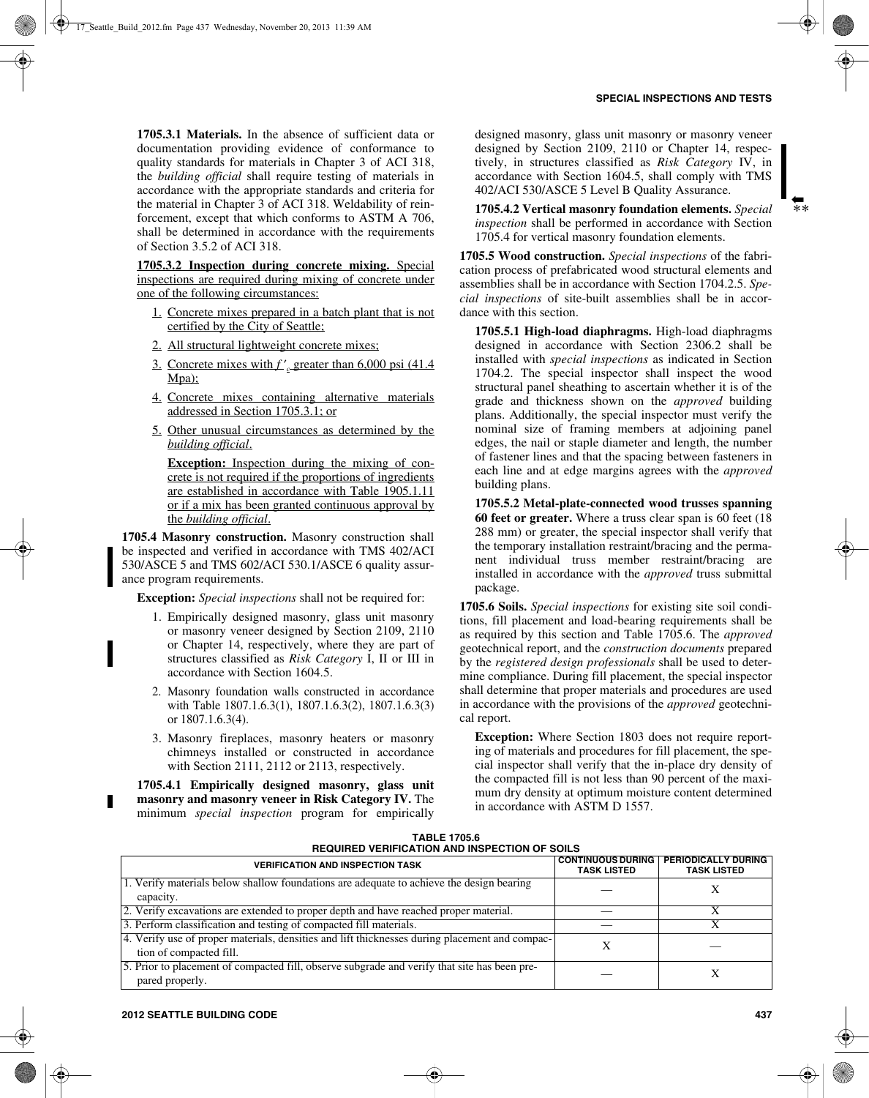**1705.3.1 Materials.** In the absence of sufficient data or documentation providing evidence of conformance to quality standards for materials in Chapter 3 of ACI 318, the *building official* shall require testing of materials in accordance with the appropriate standards and criteria for the material in Chapter 3 of ACI 318. Weldability of reinforcement, except that which conforms to ASTM A 706, shall be determined in accordance with the requirements of Section 3.5.2 of ACI 318.

**1705.3.2 Inspection during concrete mixing.** Special inspections are required during mixing of concrete under one of the following circumstances:

- 1. Concrete mixes prepared in a batch plant that is not certified by the City of Seattle;
- 2. All structural lightweight concrete mixes;
- 3. Concrete mixes with *f* ′ *<sup>c</sup>* greater than 6,000 psi (41.4 Mpa);
- 4. Concrete mixes containing alternative materials addressed in Section 1705.3.1; or
- 5. Other unusual circumstances as determined by the *building official*.

**Exception:** Inspection during the mixing of concrete is not required if the proportions of ingredients are established in accordance with Table 1905.1.11 or if a mix has been granted continuous approval by the *building official*.

**1705.4 Masonry construction.** Masonry construction shall be inspected and verified in accordance with TMS 402/ACI 530/ASCE 5 and TMS 602/ACI 530.1/ASCE 6 quality assurance program requirements.

**Exception:** *Special inspections* shall not be required for:

- 1. Empirically designed masonry, glass unit masonry or masonry veneer designed by Section 2109, 2110 or Chapter 14, respectively, where they are part of structures classified as *Risk Category* I, II or III in accordance with Section 1604.5.
- 2. Masonry foundation walls constructed in accordance with Table 1807.1.6.3(1), 1807.1.6.3(2), 1807.1.6.3(3) or 1807.1.6.3(4).
- 3. Masonry fireplaces, masonry heaters or masonry chimneys installed or constructed in accordance with Section 2111, 2112 or 2113, respectively.

**1705.4.1 Empirically designed masonry, glass unit masonry and masonry veneer in Risk Category IV.** The minimum *special inspection* program for empirically

designed masonry, glass unit masonry or masonry veneer designed by Section 2109, 2110 or Chapter 14, respectively, in structures classified as *Risk Category* IV, in accordance with Section 1604.5, shall comply with TMS 402/ACI 530/ASCE 5 Level B Quality Assurance.

**1705.4.2 Vertical masonry foundation elements.** *Special inspection* shall be performed in accordance with Section 1705.4 for vertical masonry foundation elements.

**1705.5 Wood construction.** *Special inspections* of the fabrication process of prefabricated wood structural elements and assemblies shall be in accordance with Section 1704.2.5. *Special inspections* of site-built assemblies shall be in accordance with this section.

**1705.5.1 High-load diaphragms.** High-load diaphragms designed in accordance with Section 2306.2 shall be installed with *special inspections* as indicated in Section 1704.2. The special inspector shall inspect the wood structural panel sheathing to ascertain whether it is of the grade and thickness shown on the *approved* building plans. Additionally, the special inspector must verify the nominal size of framing members at adjoining panel edges, the nail or staple diameter and length, the number of fastener lines and that the spacing between fasteners in each line and at edge margins agrees with the *approved* building plans.

**1705.5.2 Metal-plate-connected wood trusses spanning 60 feet or greater.** Where a truss clear span is 60 feet (18 288 mm) or greater, the special inspector shall verify that the temporary installation restraint/bracing and the permanent individual truss member restraint/bracing are installed in accordance with the *approved* truss submittal package.

**1705.6 Soils.** *Special inspections* for existing site soil conditions, fill placement and load-bearing requirements shall be as required by this section and Table 1705.6. The *approved* geotechnical report, and the *construction documents* prepared by the *registered design professionals* shall be used to determine compliance. During fill placement, the special inspector shall determine that proper materials and procedures are used in accordance with the provisions of the *approved* geotechnical report.

**Exception:** Where Section 1803 does not require reporting of materials and procedures for fill placement, the special inspector shall verify that the in-place dry density of the compacted fill is not less than 90 percent of the maximum dry density at optimum moisture content determined in accordance with ASTM D 1557.

| <b>TABLE 1705.6</b>                                  |  |  |  |
|------------------------------------------------------|--|--|--|
| <b>REQUIRED VERIFICATION AND INSPECTION OF SOILS</b> |  |  |  |

| <b>VERIFICATION AND INSPECTION TASK</b>                                                                                   | <b>CONTINUOUS DURING</b><br><b>TASK LISTED</b> | <b>PERIODICALLY DURING</b><br><b>TASK LISTED</b> |
|---------------------------------------------------------------------------------------------------------------------------|------------------------------------------------|--------------------------------------------------|
| 1. Verify materials below shallow foundations are adequate to achieve the design bearing<br>capacity.                     |                                                |                                                  |
| 2. Verify excavations are extended to proper depth and have reached proper material.                                      |                                                |                                                  |
| 3. Perform classification and testing of compacted fill materials.                                                        |                                                |                                                  |
| 4. Verify use of proper materials, densities and lift thicknesses during placement and compac-<br>tion of compacted fill. |                                                |                                                  |
| 5. Prior to placement of compacted fill, observe subgrade and verify that site has been pre-<br>pared properly.           |                                                | X                                                |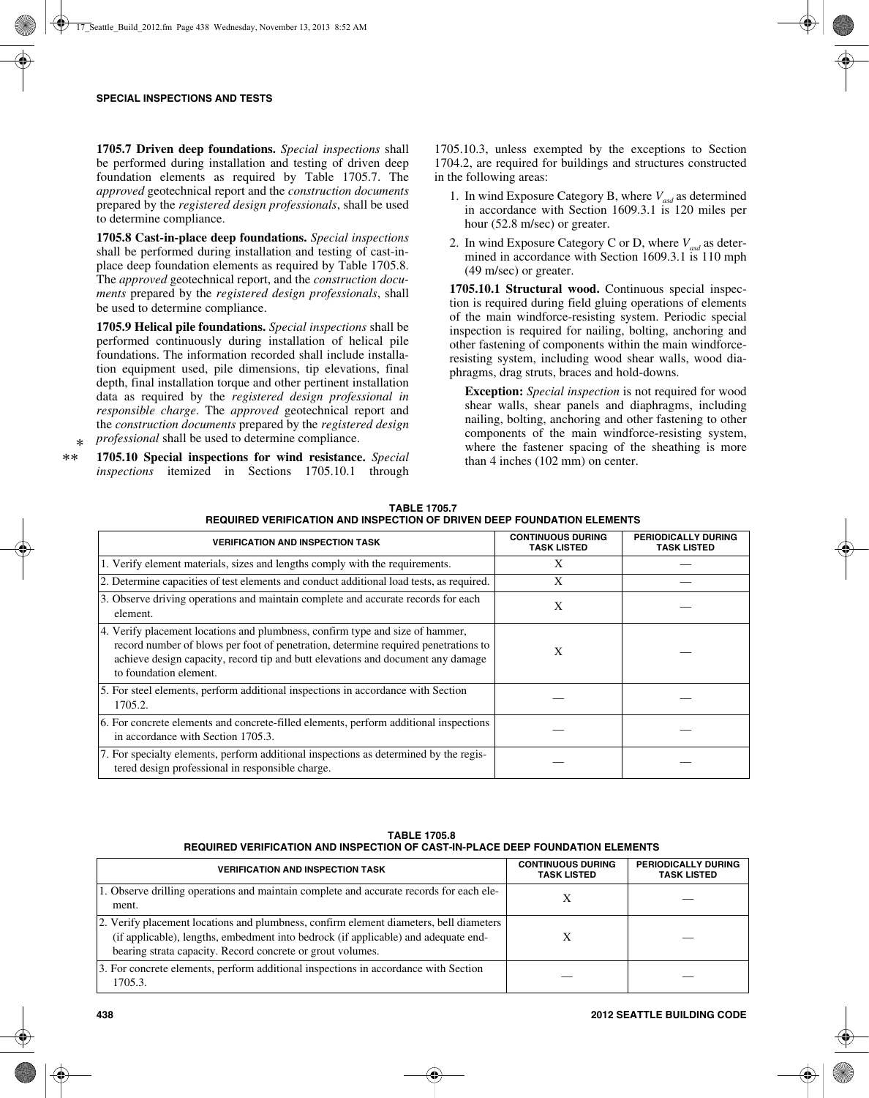**1705.7 Driven deep foundations.** *Special inspections* shall be performed during installation and testing of driven deep foundation elements as required by Table 1705.7. The *approved* geotechnical report and the *construction documents* prepared by the *registered design professionals*, shall be used to determine compliance.

**1705.8 Cast-in-place deep foundations.** *Special inspections* shall be performed during installation and testing of cast-inplace deep foundation elements as required by Table 1705.8. The *approved* geotechnical report, and the *construction documents* prepared by the *registered design professionals*, shall be used to determine compliance.

**1705.9 Helical pile foundations.** *Special inspections* shall be performed continuously during installation of helical pile foundations. The information recorded shall include installation equipment used, pile dimensions, tip elevations, final depth, final installation torque and other pertinent installation data as required by the *registered design professional in responsible charge*. The *approved* geotechnical report and the *construction documents* prepared by the *registered design professional* shall be used to determine compliance.

**1705.10 Special inspections for wind resistance.** *Special inspections* itemized in Sections 1705.10.1 through \* \*\*

1705.10.3, unless exempted by the exceptions to Section 1704.2, are required for buildings and structures constructed in the following areas:

- 1. In wind Exposure Category B, where  $V_{\text{avd}}$  as determined in accordance with Section 1609.3.1 is 120 miles per hour (52.8 m/sec) or greater.
- 2. In wind Exposure Category C or D, where  $V_{\text{rad}}$  as determined in accordance with Section 1609.3.1 is 110 mph (49 m/sec) or greater.

**1705.10.1 Structural wood.** Continuous special inspection is required during field gluing operations of elements of the main windforce-resisting system. Periodic special inspection is required for nailing, bolting, anchoring and other fastening of components within the main windforceresisting system, including wood shear walls, wood diaphragms, drag struts, braces and hold-downs.

**Exception:** *Special inspection* is not required for wood shear walls, shear panels and diaphragms, including nailing, bolting, anchoring and other fastening to other components of the main windforce-resisting system, where the fastener spacing of the sheathing is more than 4 inches (102 mm) on center.

| <b>VERIFICATION AND INSPECTION TASK</b>                                                                                                                                                                                                                                          | <b>CONTINUOUS DURING</b><br><b>TASK LISTED</b> | PERIODICALLY DURING<br><b>TASK LISTED</b> |
|----------------------------------------------------------------------------------------------------------------------------------------------------------------------------------------------------------------------------------------------------------------------------------|------------------------------------------------|-------------------------------------------|
| 1. Verify element materials, sizes and lengths comply with the requirements.                                                                                                                                                                                                     | X                                              |                                           |
| 2. Determine capacities of test elements and conduct additional load tests, as required.                                                                                                                                                                                         | X                                              |                                           |
| 3. Observe driving operations and maintain complete and accurate records for each<br>element.                                                                                                                                                                                    | X                                              |                                           |
| 4. Verify placement locations and plumbness, confirm type and size of hammer,<br>record number of blows per foot of penetration, determine required penetrations to<br>achieve design capacity, record tip and butt elevations and document any damage<br>to foundation element. | X                                              |                                           |
| 5. For steel elements, perform additional inspections in accordance with Section<br>1705.2.                                                                                                                                                                                      |                                                |                                           |
| 6. For concrete elements and concrete-filled elements, perform additional inspections<br>in accordance with Section 1705.3.                                                                                                                                                      |                                                |                                           |
| 7. For specialty elements, perform additional inspections as determined by the regis-<br>tered design professional in responsible charge.                                                                                                                                        |                                                |                                           |

**TABLE 1705.7 REQUIRED VERIFICATION AND INSPECTION OF DRIVEN DEEP FOUNDATION ELEMENTS**

**TABLE 1705.8 REQUIRED VERIFICATION AND INSPECTION OF CAST-IN-PLACE DEEP FOUNDATION ELEMENTS**

| <b>VERIFICATION AND INSPECTION TASK</b>                                                                                                                                                                                                    | <b>CONTINUOUS DURING</b><br><b>TASK LISTED</b> | PERIODICALLY DURING<br><b>TASK LISTED</b> |
|--------------------------------------------------------------------------------------------------------------------------------------------------------------------------------------------------------------------------------------------|------------------------------------------------|-------------------------------------------|
| 1. Observe drilling operations and maintain complete and accurate records for each ele-<br>ment.                                                                                                                                           | Х                                              |                                           |
| 2. Verify placement locations and plumbness, confirm element diameters, bell diameters<br>(if applicable), lengths, embedment into bedrock (if applicable) and adequate end-<br>bearing strata capacity. Record concrete or grout volumes. |                                                |                                           |
| 3. For concrete elements, perform additional inspections in accordance with Section<br>1705.3.                                                                                                                                             |                                                |                                           |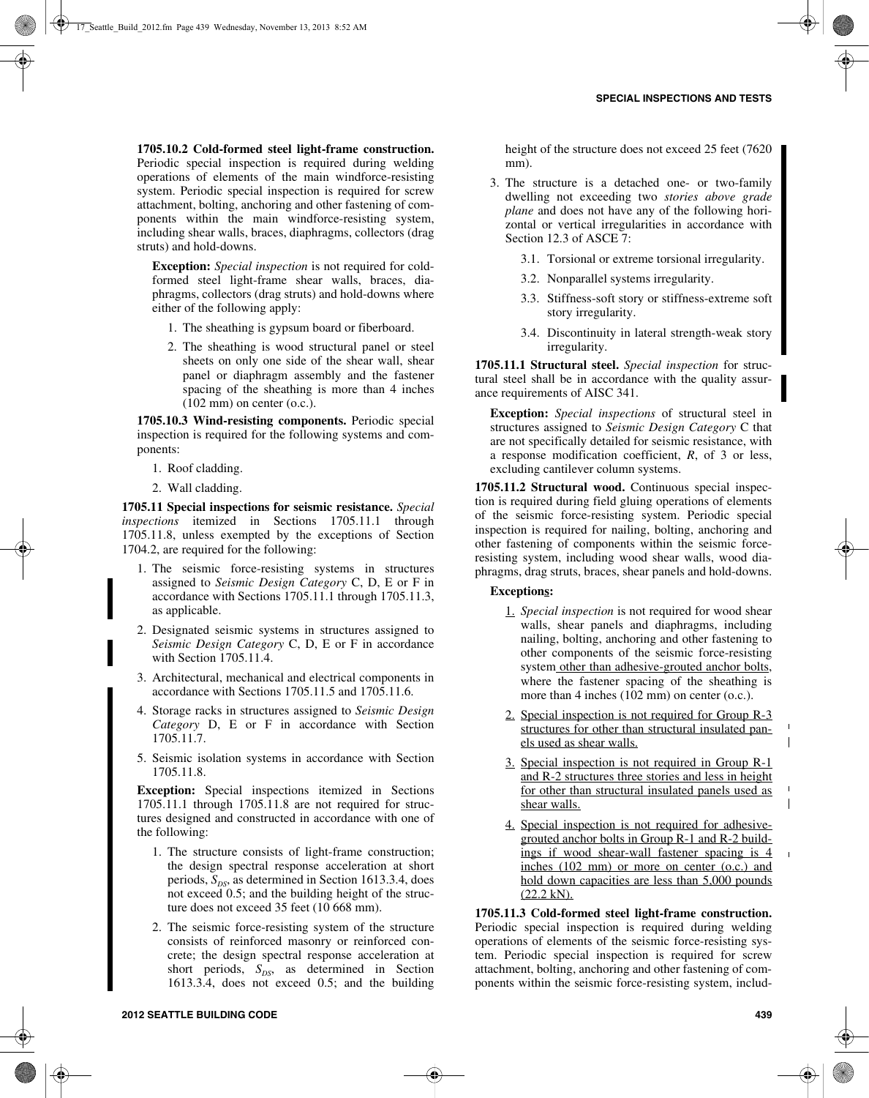**1705.10.2 Cold-formed steel light-frame construction.** Periodic special inspection is required during welding operations of elements of the main windforce-resisting system. Periodic special inspection is required for screw attachment, bolting, anchoring and other fastening of components within the main windforce-resisting system, including shear walls, braces, diaphragms, collectors (drag struts) and hold-downs.

**Exception:** *Special inspection* is not required for coldformed steel light-frame shear walls, braces, diaphragms, collectors (drag struts) and hold-downs where either of the following apply:

- 1. The sheathing is gypsum board or fiberboard.
- 2. The sheathing is wood structural panel or steel sheets on only one side of the shear wall, shear panel or diaphragm assembly and the fastener spacing of the sheathing is more than 4 inches (102 mm) on center (o.c.).

**1705.10.3 Wind-resisting components.** Periodic special inspection is required for the following systems and components:

- 1. Roof cladding.
- 2. Wall cladding.

**1705.11 Special inspections for seismic resistance.** *Special inspections* itemized in Sections 1705.11.1 through 1705.11.8, unless exempted by the exceptions of Section 1704.2, are required for the following:

- 1. The seismic force-resisting systems in structures assigned to *Seismic Design Category* C, D, E or F in accordance with Sections 1705.11.1 through 1705.11.3, as applicable.
- 2. Designated seismic systems in structures assigned to *Seismic Design Category* C, D, E or F in accordance with Section 1705.11.4.
- 3. Architectural, mechanical and electrical components in accordance with Sections 1705.11.5 and 1705.11.6.
- 4. Storage racks in structures assigned to *Seismic Design Category* D, E or F in accordance with Section 1705.11.7.
- 5. Seismic isolation systems in accordance with Section 1705.11.8.

**Exception:** Special inspections itemized in Sections 1705.11.1 through 1705.11.8 are not required for structures designed and constructed in accordance with one of the following:

- 1. The structure consists of light-frame construction; the design spectral response acceleration at short periods,  $S_{DS}$ , as determined in Section 1613.3.4, does not exceed 0.5; and the building height of the structure does not exceed 35 feet (10 668 mm).
- 2. The seismic force-resisting system of the structure consists of reinforced masonry or reinforced concrete; the design spectral response acceleration at short periods,  $S_{DS}$ , as determined in Section 1613.3.4, does not exceed 0.5; and the building

height of the structure does not exceed 25 feet (7620) mm).

- 3. The structure is a detached one- or two-family dwelling not exceeding two *stories above grade plane* and does not have any of the following horizontal or vertical irregularities in accordance with Section 12.3 of ASCE 7:
	- 3.1. Torsional or extreme torsional irregularity.
	- 3.2. Nonparallel systems irregularity.
	- 3.3. Stiffness-soft story or stiffness-extreme soft story irregularity.
	- 3.4. Discontinuity in lateral strength-weak story irregularity.

**1705.11.1 Structural steel.** *Special inspection* for structural steel shall be in accordance with the quality assurance requirements of AISC 341.

**Exception:** *Special inspections* of structural steel in structures assigned to *Seismic Design Category* C that are not specifically detailed for seismic resistance, with a response modification coefficient, *R*, of 3 or less, excluding cantilever column systems.

**1705.11.2 Structural wood.** Continuous special inspection is required during field gluing operations of elements of the seismic force-resisting system. Periodic special inspection is required for nailing, bolting, anchoring and other fastening of components within the seismic forceresisting system, including wood shear walls, wood diaphragms, drag struts, braces, shear panels and hold-downs.

# **Exceptions:**

- 1. *Special inspection* is not required for wood shear walls, shear panels and diaphragms, including nailing, bolting, anchoring and other fastening to other components of the seismic force-resisting system other than adhesive-grouted anchor bolts, where the fastener spacing of the sheathing is more than 4 inches (102 mm) on center (o.c.).
- 2. Special inspection is not required for Group R-3 structures for other than structural insulated panels used as shear walls.
- 3. Special inspection is not required in Group R-1 and R-2 structures three stories and less in height for other than structural insulated panels used as shear walls.
- 4. Special inspection is not required for adhesivegrouted anchor bolts in Group R-1 and R-2 buildings if wood shear-wall fastener spacing is 4 inches (102 mm) or more on center (o.c.) and hold down capacities are less than 5,000 pounds (22.2 kN).

**1705.11.3 Cold-formed steel light-frame construction.** Periodic special inspection is required during welding operations of elements of the seismic force-resisting system. Periodic special inspection is required for screw attachment, bolting, anchoring and other fastening of components within the seismic force-resisting system, includ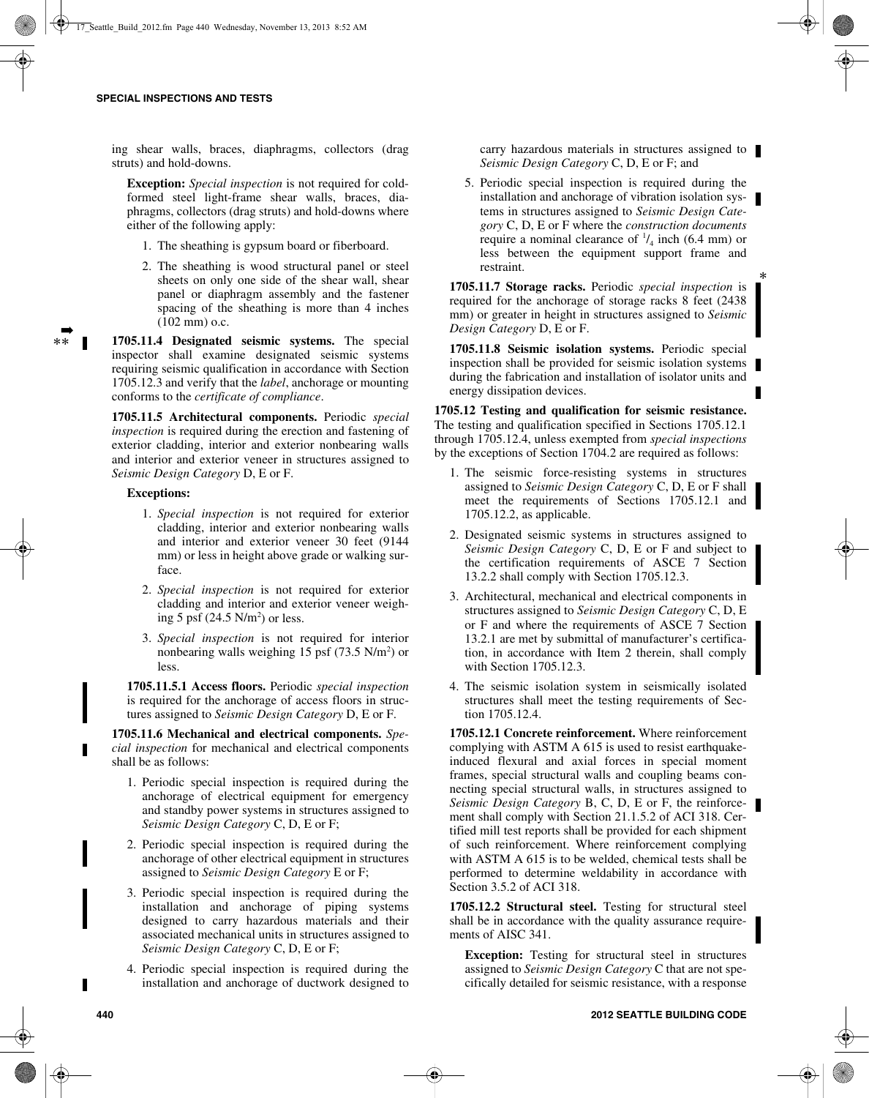ing shear walls, braces, diaphragms, collectors (drag struts) and hold-downs.

**Exception:** *Special inspection* is not required for coldformed steel light-frame shear walls, braces, diaphragms, collectors (drag struts) and hold-downs where either of the following apply:

- 1. The sheathing is gypsum board or fiberboard.
- 2. The sheathing is wood structural panel or steel sheets on only one side of the shear wall, shear panel or diaphragm assembly and the fastener spacing of the sheathing is more than 4 inches (102 mm) o.c.

**1705.11.4 Designated seismic systems.** The special inspector shall examine designated seismic systems requiring seismic qualification in accordance with Section 1705.12.3 and verify that the *label*, anchorage or mounting conforms to the *certificate of compliance*.

**1705.11.5 Architectural components.** Periodic *special inspection* is required during the erection and fastening of exterior cladding, interior and exterior nonbearing walls and interior and exterior veneer in structures assigned to *Seismic Design Category* D, E or F.

# **Exceptions:**

➡ \*\*

- 1. *Special inspection* is not required for exterior cladding, interior and exterior nonbearing walls and interior and exterior veneer 30 feet (9144 mm) or less in height above grade or walking surface.
- 2. *Special inspection* is not required for exterior cladding and interior and exterior veneer weighing 5 psf  $(24.5 \text{ N/m}^2)$  or less.
- 3. *Special inspection* is not required for interior nonbearing walls weighing  $15$  psf (73.5 N/m<sup>2</sup>) or less.

**1705.11.5.1 Access floors.** Periodic *special inspection* is required for the anchorage of access floors in structures assigned to *Seismic Design Category* D, E or F.

**1705.11.6 Mechanical and electrical components.** *Special inspection* for mechanical and electrical components shall be as follows:

- 1. Periodic special inspection is required during the anchorage of electrical equipment for emergency and standby power systems in structures assigned to *Seismic Design Category* C, D, E or F;
- 2. Periodic special inspection is required during the anchorage of other electrical equipment in structures assigned to *Seismic Design Category* E or F;
- 3. Periodic special inspection is required during the installation and anchorage of piping systems designed to carry hazardous materials and their associated mechanical units in structures assigned to *Seismic Design Category* C, D, E or F;
- 4. Periodic special inspection is required during the installation and anchorage of ductwork designed to

carry hazardous materials in structures assigned to *Seismic Design Category* C, D, E or F; and

5. Periodic special inspection is required during the installation and anchorage of vibration isolation systems in structures assigned to *Seismic Design Category* C, D, E or F where the *construction documents* require a nominal clearance of  $\frac{1}{4}$  inch (6.4 mm) or less between the equipment support frame and restraint.

\*

**1705.11.7 Storage racks.** Periodic *special inspection* is required for the anchorage of storage racks 8 feet (2438 mm) or greater in height in structures assigned to *Seismic Design Category* D, E or F.

**1705.11.8 Seismic isolation systems.** Periodic special inspection shall be provided for seismic isolation systems during the fabrication and installation of isolator units and energy dissipation devices.

**1705.12 Testing and qualification for seismic resistance.** The testing and qualification specified in Sections 1705.12.1 through 1705.12.4, unless exempted from *special inspections* by the exceptions of Section 1704.2 are required as follows:

- 1. The seismic force-resisting systems in structures assigned to *Seismic Design Category* C, D, E or F shall meet the requirements of Sections 1705.12.1 and 1705.12.2, as applicable.
- 2. Designated seismic systems in structures assigned to *Seismic Design Category* C, D, E or F and subject to the certification requirements of ASCE 7 Section 13.2.2 shall comply with Section 1705.12.3.
- 3. Architectural, mechanical and electrical components in structures assigned to *Seismic Design Category* C, D, E or F and where the requirements of ASCE 7 Section 13.2.1 are met by submittal of manufacturer's certification, in accordance with Item 2 therein, shall comply with Section 1705.12.3.
- 4. The seismic isolation system in seismically isolated structures shall meet the testing requirements of Section 1705.12.4.

**1705.12.1 Concrete reinforcement.** Where reinforcement complying with ASTM A 615 is used to resist earthquakeinduced flexural and axial forces in special moment frames, special structural walls and coupling beams connecting special structural walls, in structures assigned to *Seismic Design Category* B, C, D, E or F, the reinforcement shall comply with Section 21.1.5.2 of ACI 318. Certified mill test reports shall be provided for each shipment of such reinforcement. Where reinforcement complying with ASTM A 615 is to be welded, chemical tests shall be performed to determine weldability in accordance with Section 3.5.2 of ACI 318.

**1705.12.2 Structural steel.** Testing for structural steel shall be in accordance with the quality assurance requirements of AISC 341.

**Exception:** Testing for structural steel in structures assigned to *Seismic Design Category* C that are not specifically detailed for seismic resistance, with a response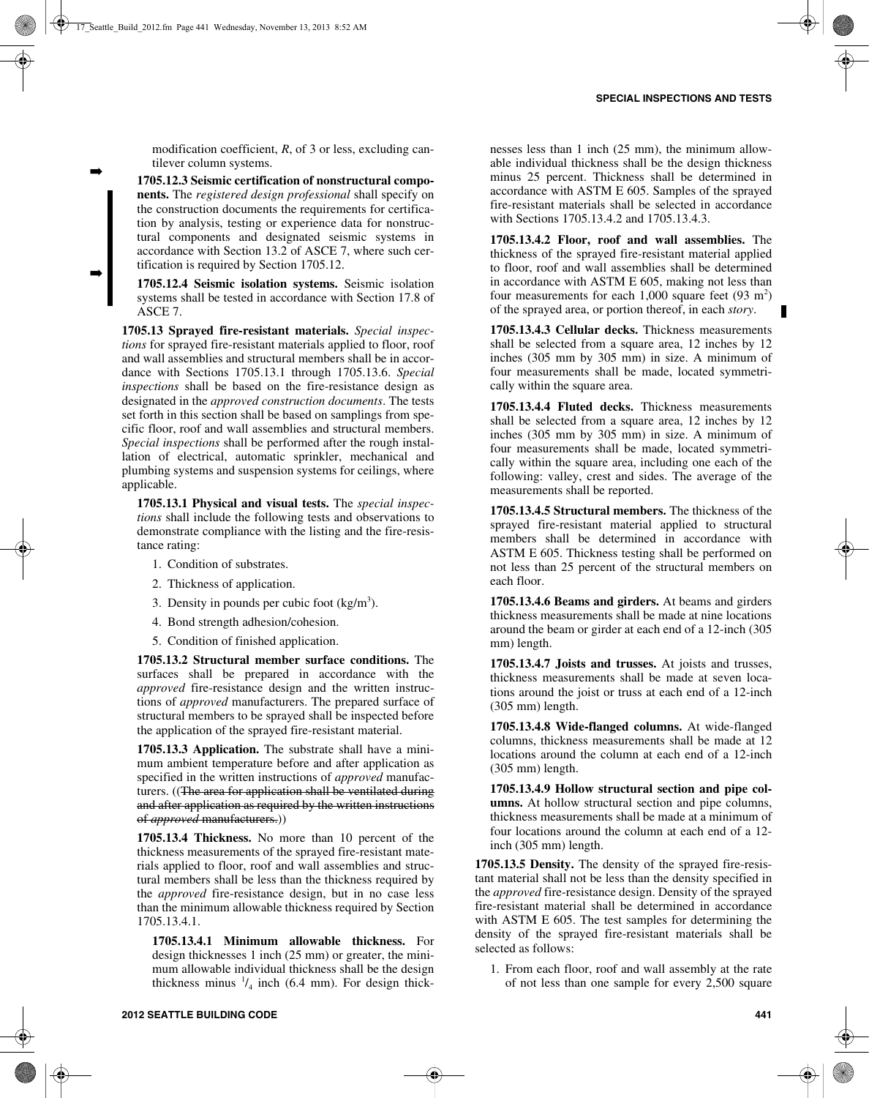modification coefficient, *R*, of 3 or less, excluding cantilever column systems.

➡

➡

**1705.12.3 Seismic certification of nonstructural components.** The *registered design professional* shall specify on the construction documents the requirements for certification by analysis, testing or experience data for nonstructural components and designated seismic systems in accordance with Section 13.2 of ASCE 7, where such certification is required by Section 1705.12.

**1705.12.4 Seismic isolation systems.** Seismic isolation systems shall be tested in accordance with Section 17.8 of ASCE 7.

**1705.13 Sprayed fire-resistant materials.** *Special inspections* for sprayed fire-resistant materials applied to floor, roof and wall assemblies and structural members shall be in accordance with Sections 1705.13.1 through 1705.13.6. *Special inspections* shall be based on the fire-resistance design as designated in the *approved construction documents*. The tests set forth in this section shall be based on samplings from specific floor, roof and wall assemblies and structural members. *Special inspections* shall be performed after the rough installation of electrical, automatic sprinkler, mechanical and plumbing systems and suspension systems for ceilings, where applicable.

**1705.13.1 Physical and visual tests.** The *special inspections* shall include the following tests and observations to demonstrate compliance with the listing and the fire-resistance rating:

- 1. Condition of substrates.
- 2. Thickness of application.
- 3. Density in pounds per cubic foot  $(kg/m<sup>3</sup>)$ .
- 4. Bond strength adhesion/cohesion.
- 5. Condition of finished application.

**1705.13.2 Structural member surface conditions.** The surfaces shall be prepared in accordance with the *approved* fire-resistance design and the written instructions of *approved* manufacturers. The prepared surface of structural members to be sprayed shall be inspected before the application of the sprayed fire-resistant material.

**1705.13.3 Application.** The substrate shall have a minimum ambient temperature before and after application as specified in the written instructions of *approved* manufacturers. ((The area for application shall be ventilated during and after application as required by the written instructions of *approved* manufacturers.))

**1705.13.4 Thickness.** No more than 10 percent of the thickness measurements of the sprayed fire-resistant materials applied to floor, roof and wall assemblies and structural members shall be less than the thickness required by the *approved* fire-resistance design, but in no case less than the minimum allowable thickness required by Section 1705.13.4.1.

**1705.13.4.1 Minimum allowable thickness.** For design thicknesses 1 inch (25 mm) or greater, the minimum allowable individual thickness shall be the design thickness minus  $\frac{1}{4}$  inch (6.4 mm). For design thicknesses less than 1 inch (25 mm), the minimum allowable individual thickness shall be the design thickness minus 25 percent. Thickness shall be determined in accordance with ASTM E 605. Samples of the sprayed fire-resistant materials shall be selected in accordance with Sections 1705.13.4.2 and 1705.13.4.3.

**1705.13.4.2 Floor, roof and wall assemblies.** The thickness of the sprayed fire-resistant material applied to floor, roof and wall assemblies shall be determined in accordance with ASTM E 605, making not less than four measurements for each  $1,000$  square feet  $(93 \text{ m}^2)$ of the sprayed area, or portion thereof, in each *story*.

**1705.13.4.3 Cellular decks.** Thickness measurements shall be selected from a square area, 12 inches by 12 inches (305 mm by 305 mm) in size. A minimum of four measurements shall be made, located symmetrically within the square area.

**1705.13.4.4 Fluted decks.** Thickness measurements shall be selected from a square area, 12 inches by 12 inches (305 mm by 305 mm) in size. A minimum of four measurements shall be made, located symmetrically within the square area, including one each of the following: valley, crest and sides. The average of the measurements shall be reported.

**1705.13.4.5 Structural members.** The thickness of the sprayed fire-resistant material applied to structural members shall be determined in accordance with ASTM E 605. Thickness testing shall be performed on not less than 25 percent of the structural members on each floor.

**1705.13.4.6 Beams and girders.** At beams and girders thickness measurements shall be made at nine locations around the beam or girder at each end of a 12-inch (305 mm) length.

**1705.13.4.7 Joists and trusses.** At joists and trusses, thickness measurements shall be made at seven locations around the joist or truss at each end of a 12-inch (305 mm) length.

**1705.13.4.8 Wide-flanged columns.** At wide-flanged columns, thickness measurements shall be made at 12 locations around the column at each end of a 12-inch (305 mm) length.

**1705.13.4.9 Hollow structural section and pipe columns.** At hollow structural section and pipe columns, thickness measurements shall be made at a minimum of four locations around the column at each end of a 12 inch (305 mm) length.

**1705.13.5 Density.** The density of the sprayed fire-resistant material shall not be less than the density specified in the *approved* fire-resistance design. Density of the sprayed fire-resistant material shall be determined in accordance with ASTM E 605. The test samples for determining the density of the sprayed fire-resistant materials shall be selected as follows:

1. From each floor, roof and wall assembly at the rate of not less than one sample for every 2,500 square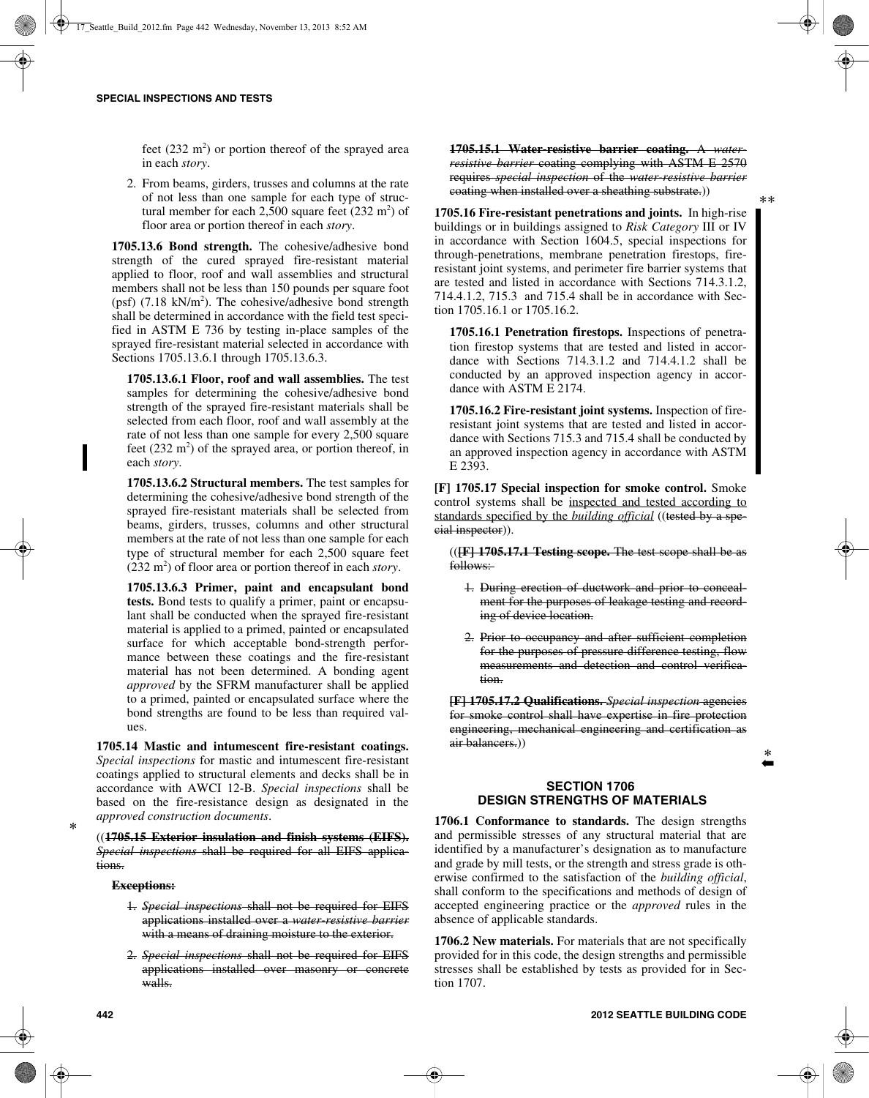feet  $(232 \text{ m}^2)$  or portion thereof of the sprayed area in each *story*.

2. From beams, girders, trusses and columns at the rate of not less than one sample for each type of structural member for each  $2,500$  square feet  $(232 \text{ m}^2)$  of floor area or portion thereof in each *story*.

**1705.13.6 Bond strength.** The cohesive/adhesive bond strength of the cured sprayed fire-resistant material applied to floor, roof and wall assemblies and structural members shall not be less than 150 pounds per square foot (psf)  $(7.18 \text{ kN/m}^2)$ . The cohesive/adhesive bond strength shall be determined in accordance with the field test specified in ASTM E 736 by testing in-place samples of the sprayed fire-resistant material selected in accordance with Sections 1705.13.6.1 through 1705.13.6.3.

**1705.13.6.1 Floor, roof and wall assemblies.** The test samples for determining the cohesive/adhesive bond strength of the sprayed fire-resistant materials shall be selected from each floor, roof and wall assembly at the rate of not less than one sample for every 2,500 square feet  $(232 \text{ m}^2)$  of the sprayed area, or portion thereof, in each *story*.

**1705.13.6.2 Structural members.** The test samples for determining the cohesive/adhesive bond strength of the sprayed fire-resistant materials shall be selected from beams, girders, trusses, columns and other structural members at the rate of not less than one sample for each type of structural member for each 2,500 square feet  $(232 \text{ m}^2)$  of floor area or portion thereof in each *story*.

**1705.13.6.3 Primer, paint and encapsulant bond tests.** Bond tests to qualify a primer, paint or encapsulant shall be conducted when the sprayed fire-resistant material is applied to a primed, painted or encapsulated surface for which acceptable bond-strength performance between these coatings and the fire-resistant material has not been determined. A bonding agent *approved* by the SFRM manufacturer shall be applied to a primed, painted or encapsulated surface where the bond strengths are found to be less than required values.

**1705.14 Mastic and intumescent fire-resistant coatings.** *Special inspections* for mastic and intumescent fire-resistant coatings applied to structural elements and decks shall be in accordance with AWCI 12-B. *Special inspections* shall be based on the fire-resistance design as designated in the *approved construction documents*.

((**1705.15 Exterior insulation and finish systems (EIFS).** *Special inspections* shall be required for all EIFS applications.

#### **Exceptions:**

- 1. *Special inspections* shall not be required for EIFS applications installed over a *water-resistive barrier* with a means of draining moisture to the exterior.
- 2. *Special inspections* shall not be required for EIFS applications installed over masonry or concrete walls.

**1705.15.1 Water-resistive barrier coating.** A *waterresistive barrier* coating complying with ASTM E 2570 requires *special inspection* of the *water-resistive barrier* coating when installed over a sheathing substrate.))

**1705.16 Fire-resistant penetrations and joints.** In high-rise buildings or in buildings assigned to *Risk Category* III or IV in accordance with Section 1604.5, special inspections for through-penetrations, membrane penetration firestops, fireresistant joint systems, and perimeter fire barrier systems that are tested and listed in accordance with Sections 714.3.1.2, 714.4.1.2, 715.3 and 715.4 shall be in accordance with Section 1705.16.1 or 1705.16.2.

**1705.16.1 Penetration firestops.** Inspections of penetration firestop systems that are tested and listed in accordance with Sections 714.3.1.2 and 714.4.1.2 shall be conducted by an approved inspection agency in accordance with ASTM E 2174.

**1705.16.2 Fire-resistant joint systems.** Inspection of fireresistant joint systems that are tested and listed in accordance with Sections 715.3 and 715.4 shall be conducted by an approved inspection agency in accordance with ASTM E 2393.

**[F] 1705.17 Special inspection for smoke control.** Smoke control systems shall be inspected and tested according to standards specified by the *building official* ((tested by a special inspector)).

((**[F] 1705.17.1 Testing scope.** The test scope shall be as follows:

- 1. During erection of ductwork and prior to concealment for the purposes of leakage testing and recording of device location.
- 2. Prior to occupancy and after sufficient completion for the purposes of pressure difference testing, flow measurements and detection and control verification.

**[F] 1705.17.2 Qualifications.** *Special inspection* agencies for smoke control shall have expertise in fire protection engineering, mechanical engineering and certification as air balancers.))

\* ➡

## **SECTION 1706 DESIGN STRENGTHS OF MATERIALS**

**1706.1 Conformance to standards.** The design strengths and permissible stresses of any structural material that are identified by a manufacturer's designation as to manufacture and grade by mill tests, or the strength and stress grade is otherwise confirmed to the satisfaction of the *building official*, shall conform to the specifications and methods of design of accepted engineering practice or the *approved* rules in the absence of applicable standards.

**1706.2 New materials.** For materials that are not specifically provided for in this code, the design strengths and permissible stresses shall be established by tests as provided for in Section 1707.

\*\*

\*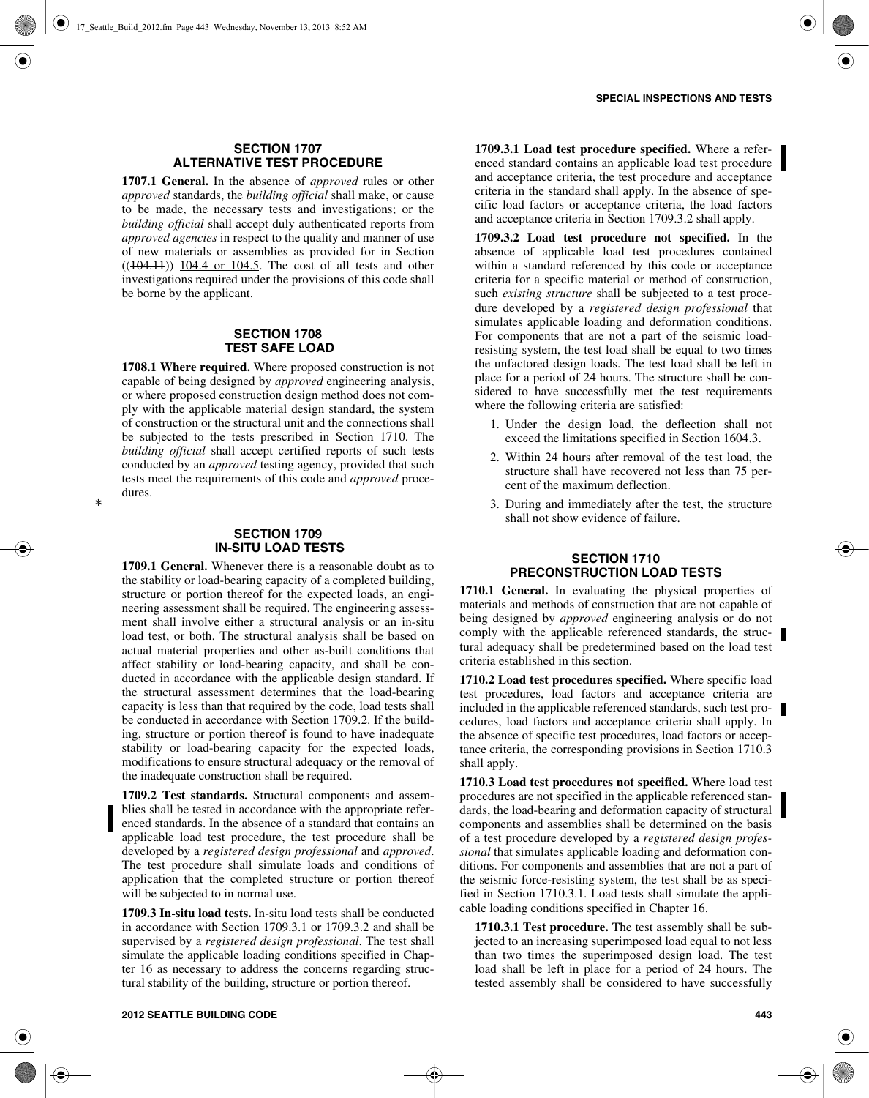# **SECTION 1707 ALTERNATIVE TEST PROCEDURE**

**1707.1 General.** In the absence of *approved* rules or other *approved* standards, the *building official* shall make, or cause to be made, the necessary tests and investigations; or the *building official* shall accept duly authenticated reports from *approved agencies* in respect to the quality and manner of use of new materials or assemblies as provided for in Section  $((104.11))$   $104.4$  or  $104.5$ . The cost of all tests and other investigations required under the provisions of this code shall be borne by the applicant.

# **SECTION 1708 TEST SAFE LOAD**

**1708.1 Where required.** Where proposed construction is not capable of being designed by *approved* engineering analysis, or where proposed construction design method does not comply with the applicable material design standard, the system of construction or the structural unit and the connections shall be subjected to the tests prescribed in Section 1710. The *building official* shall accept certified reports of such tests conducted by an *approved* testing agency, provided that such tests meet the requirements of this code and *approved* procedures.

# **SECTION 1709 IN-SITU LOAD TESTS**

**1709.1 General.** Whenever there is a reasonable doubt as to the stability or load-bearing capacity of a completed building, structure or portion thereof for the expected loads, an engineering assessment shall be required. The engineering assessment shall involve either a structural analysis or an in-situ load test, or both. The structural analysis shall be based on actual material properties and other as-built conditions that affect stability or load-bearing capacity, and shall be conducted in accordance with the applicable design standard. If the structural assessment determines that the load-bearing capacity is less than that required by the code, load tests shall be conducted in accordance with Section 1709.2. If the building, structure or portion thereof is found to have inadequate stability or load-bearing capacity for the expected loads, modifications to ensure structural adequacy or the removal of the inadequate construction shall be required.

**1709.2 Test standards.** Structural components and assemblies shall be tested in accordance with the appropriate referenced standards. In the absence of a standard that contains an applicable load test procedure, the test procedure shall be developed by a *registered design professional* and *approved*. The test procedure shall simulate loads and conditions of application that the completed structure or portion thereof will be subjected to in normal use.

**1709.3 In-situ load tests.** In-situ load tests shall be conducted in accordance with Section 1709.3.1 or 1709.3.2 and shall be supervised by a *registered design professional*. The test shall simulate the applicable loading conditions specified in Chapter 16 as necessary to address the concerns regarding structural stability of the building, structure or portion thereof.

**1709.3.1 Load test procedure specified.** Where a referenced standard contains an applicable load test procedure and acceptance criteria, the test procedure and acceptance criteria in the standard shall apply. In the absence of specific load factors or acceptance criteria, the load factors and acceptance criteria in Section 1709.3.2 shall apply.

**1709.3.2 Load test procedure not specified.** In the absence of applicable load test procedures contained within a standard referenced by this code or acceptance criteria for a specific material or method of construction, such *existing structure* shall be subjected to a test procedure developed by a *registered design professional* that simulates applicable loading and deformation conditions. For components that are not a part of the seismic loadresisting system, the test load shall be equal to two times the unfactored design loads. The test load shall be left in place for a period of 24 hours. The structure shall be considered to have successfully met the test requirements where the following criteria are satisfied:

- 1. Under the design load, the deflection shall not exceed the limitations specified in Section 1604.3.
- 2. Within 24 hours after removal of the test load, the structure shall have recovered not less than 75 percent of the maximum deflection.
- 3. During and immediately after the test, the structure shall not show evidence of failure.

# **SECTION 1710 PRECONSTRUCTION LOAD TESTS**

**1710.1 General.** In evaluating the physical properties of materials and methods of construction that are not capable of being designed by *approved* engineering analysis or do not comply with the applicable referenced standards, the structural adequacy shall be predetermined based on the load test criteria established in this section.

**1710.2 Load test procedures specified.** Where specific load test procedures, load factors and acceptance criteria are included in the applicable referenced standards, such test procedures, load factors and acceptance criteria shall apply. In the absence of specific test procedures, load factors or acceptance criteria, the corresponding provisions in Section 1710.3 shall apply.

**1710.3 Load test procedures not specified.** Where load test procedures are not specified in the applicable referenced standards, the load-bearing and deformation capacity of structural components and assemblies shall be determined on the basis of a test procedure developed by a *registered design professional* that simulates applicable loading and deformation conditions. For components and assemblies that are not a part of the seismic force-resisting system, the test shall be as specified in Section 1710.3.1. Load tests shall simulate the applicable loading conditions specified in Chapter 16.

**1710.3.1 Test procedure.** The test assembly shall be subjected to an increasing superimposed load equal to not less than two times the superimposed design load. The test load shall be left in place for a period of 24 hours. The tested assembly shall be considered to have successfully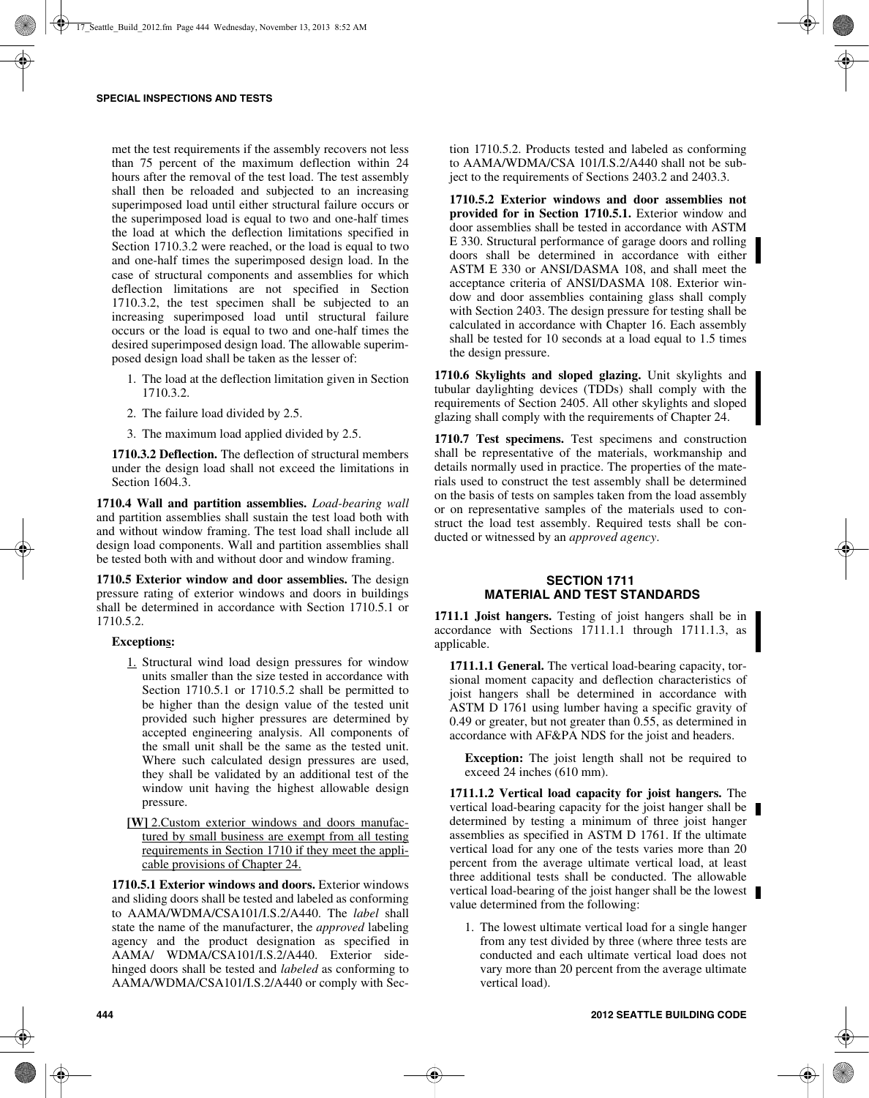met the test requirements if the assembly recovers not less than 75 percent of the maximum deflection within 24 hours after the removal of the test load. The test assembly shall then be reloaded and subjected to an increasing superimposed load until either structural failure occurs or the superimposed load is equal to two and one-half times the load at which the deflection limitations specified in Section 1710.3.2 were reached, or the load is equal to two and one-half times the superimposed design load. In the case of structural components and assemblies for which deflection limitations are not specified in Section 1710.3.2, the test specimen shall be subjected to an increasing superimposed load until structural failure occurs or the load is equal to two and one-half times the desired superimposed design load. The allowable superimposed design load shall be taken as the lesser of:

- 1. The load at the deflection limitation given in Section 1710.3.2.
- 2. The failure load divided by 2.5.
- 3. The maximum load applied divided by 2.5.

**1710.3.2 Deflection.** The deflection of structural members under the design load shall not exceed the limitations in Section 1604.3.

**1710.4 Wall and partition assemblies.** *Load-bearing wall* and partition assemblies shall sustain the test load both with and without window framing. The test load shall include all design load components. Wall and partition assemblies shall be tested both with and without door and window framing.

**1710.5 Exterior window and door assemblies.** The design pressure rating of exterior windows and doors in buildings shall be determined in accordance with Section 1710.5.1 or 1710.5.2.

### **Exceptions:**

- 1. Structural wind load design pressures for window units smaller than the size tested in accordance with Section 1710.5.1 or 1710.5.2 shall be permitted to be higher than the design value of the tested unit provided such higher pressures are determined by accepted engineering analysis. All components of the small unit shall be the same as the tested unit. Where such calculated design pressures are used, they shall be validated by an additional test of the window unit having the highest allowable design pressure.
- **[W]** 2.Custom exterior windows and doors manufactured by small business are exempt from all testing requirements in Section 1710 if they meet the applicable provisions of Chapter 24.

**1710.5.1 Exterior windows and doors.** Exterior windows and sliding doors shall be tested and labeled as conforming to AAMA/WDMA/CSA101/I.S.2/A440. The *label* shall state the name of the manufacturer, the *approved* labeling agency and the product designation as specified in AAMA/ WDMA/CSA101/I.S.2/A440. Exterior sidehinged doors shall be tested and *labeled* as conforming to AAMA/WDMA/CSA101/I.S.2/A440 or comply with Section 1710.5.2. Products tested and labeled as conforming to AAMA/WDMA/CSA 101/I.S.2/A440 shall not be subject to the requirements of Sections 2403.2 and 2403.3.

**1710.5.2 Exterior windows and door assemblies not provided for in Section 1710.5.1.** Exterior window and door assemblies shall be tested in accordance with ASTM E 330. Structural performance of garage doors and rolling doors shall be determined in accordance with either ASTM E 330 or ANSI/DASMA 108, and shall meet the acceptance criteria of ANSI/DASMA 108. Exterior window and door assemblies containing glass shall comply with Section 2403. The design pressure for testing shall be calculated in accordance with Chapter 16. Each assembly shall be tested for 10 seconds at a load equal to 1.5 times the design pressure.

**1710.6 Skylights and sloped glazing.** Unit skylights and tubular daylighting devices (TDDs) shall comply with the requirements of Section 2405. All other skylights and sloped glazing shall comply with the requirements of Chapter 24.

**1710.7 Test specimens.** Test specimens and construction shall be representative of the materials, workmanship and details normally used in practice. The properties of the materials used to construct the test assembly shall be determined on the basis of tests on samples taken from the load assembly or on representative samples of the materials used to construct the load test assembly. Required tests shall be conducted or witnessed by an *approved agency*.

# **SECTION 1711 MATERIAL AND TEST STANDARDS**

**1711.1 Joist hangers.** Testing of joist hangers shall be in accordance with Sections 1711.1.1 through 1711.1.3, as applicable.

**1711.1.1 General.** The vertical load-bearing capacity, torsional moment capacity and deflection characteristics of joist hangers shall be determined in accordance with ASTM D 1761 using lumber having a specific gravity of 0.49 or greater, but not greater than 0.55, as determined in accordance with AF&PA NDS for the joist and headers.

**Exception:** The joist length shall not be required to exceed 24 inches (610 mm).

**1711.1.2 Vertical load capacity for joist hangers.** The vertical load-bearing capacity for the joist hanger shall be determined by testing a minimum of three joist hanger assemblies as specified in ASTM D 1761. If the ultimate vertical load for any one of the tests varies more than 20 percent from the average ultimate vertical load, at least three additional tests shall be conducted. The allowable vertical load-bearing of the joist hanger shall be the lowest value determined from the following:

1. The lowest ultimate vertical load for a single hanger from any test divided by three (where three tests are conducted and each ultimate vertical load does not vary more than 20 percent from the average ultimate vertical load).